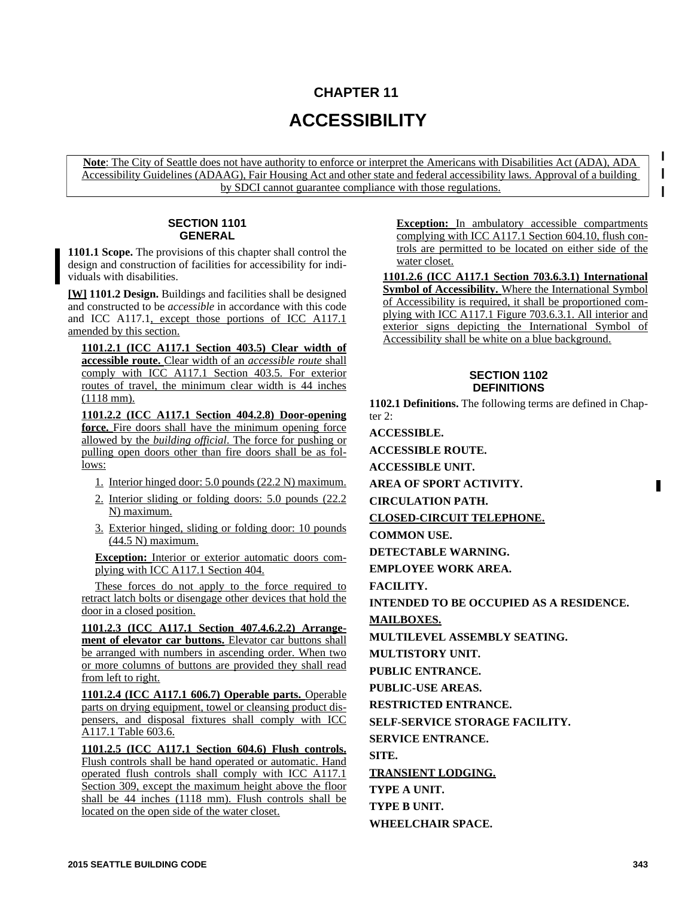# **CHAPTER 11 ACCESSIBILITY**

**Note**: The City of Seattle does not have authority to enforce or interpret the Americans with Disabilities Act (ADA), ADA Accessibility Guidelines (ADAAG), Fair Housing Act and other state and federal accessibility laws. Approval of a building by SDCI cannot guarantee compliance with those regulations.

# **SECTION 1101 GENERAL**

**1101.1 Scope.** The provisions of this chapter shall control the design and construction of facilities for accessibility for individuals with disabilities.

**[W] 1101.2 Design.** Buildings and facilities shall be designed and constructed to be *accessible* in accordance with this code and ICC A117.1, except those portions of ICC A117.1 amended by this section.

**1101.2.1 (ICC A117.1 Section 403.5) Clear width of accessible route.** Clear width of an *accessible route* shall comply with ICC A117.1 Section 403.5. For exterior routes of travel, the minimum clear width is 44 inches (1118 mm).

**1101.2.2 (ICC A117.1 Section 404.2.8) Door-opening force.** Fire doors shall have the minimum opening force allowed by the *building official*. The force for pushing or pulling open doors other than fire doors shall be as follows:

- 1. Interior hinged door: 5.0 pounds (22.2 N) maximum.
- 2. Interior sliding or folding doors: 5.0 pounds (22.2 N) maximum.
- 3. Exterior hinged, sliding or folding door: 10 pounds (44.5 N) maximum.

**Exception:** Interior or exterior automatic doors complying with ICC A117.1 Section 404.

These forces do not apply to the force required to retract latch bolts or disengage other devices that hold the door in a closed position.

**1101.2.3 (ICC A117.1 Section 407.4.6.2.2) Arrangement of elevator car buttons.** Elevator car buttons shall be arranged with numbers in ascending order. When two or more columns of buttons are provided they shall read from left to right.

**1101.2.4 (ICC A117.1 606.7) Operable parts.** Operable parts on drying equipment, towel or cleansing product dispensers, and disposal fixtures shall comply with ICC A117.1 Table 603.6.

**1101.2.5 (ICC A117.1 Section 604.6) Flush controls.** Flush controls shall be hand operated or automatic. Hand operated flush controls shall comply with ICC A117.1 Section 309, except the maximum height above the floor shall be 44 inches (1118 mm). Flush controls shall be located on the open side of the water closet.

**Exception:** In ambulatory accessible compartments complying with ICC A117.1 Section 604.10, flush controls are permitted to be located on either side of the water closet.

 $\mathbf{I}$ 

**1101.2.6 (ICC A117.1 Section 703.6.3.1) International Symbol of Accessibility.** Where the International Symbol of Accessibility is required, it shall be proportioned complying with ICC A117.1 Figure 703.6.3.1. All interior and exterior signs depicting the International Symbol of Accessibility shall be white on a blue background.

## **SECTION 1102 DEFINITIONS**

**1102.1 Definitions.** The following terms are defined in Chapter 2:

**ACCESSIBLE.**

**ACCESSIBLE ROUTE.**

**ACCESSIBLE UNIT.**

**AREA OF SPORT ACTIVITY.**

**CIRCULATION PATH.**

**CLOSED-CIRCUIT TELEPHONE.**

**COMMON USE.**

**DETECTABLE WARNING.**

**EMPLOYEE WORK AREA.**

**FACILITY.**

**INTENDED TO BE OCCUPIED AS A RESIDENCE.**

**MAILBOXES.**

**MULTILEVEL ASSEMBLY SEATING.**

**MULTISTORY UNIT.**

**PUBLIC ENTRANCE.**

**PUBLIC-USE AREAS.**

**RESTRICTED ENTRANCE.**

**SELF-SERVICE STORAGE FACILITY.**

**SERVICE ENTRANCE.**

**SITE.**

**TRANSIENT LODGING.**

**TYPE A UNIT.**

**TYPE B UNIT. WHEELCHAIR SPACE.**

**2015 SEATTLE BUILDING CODE 343**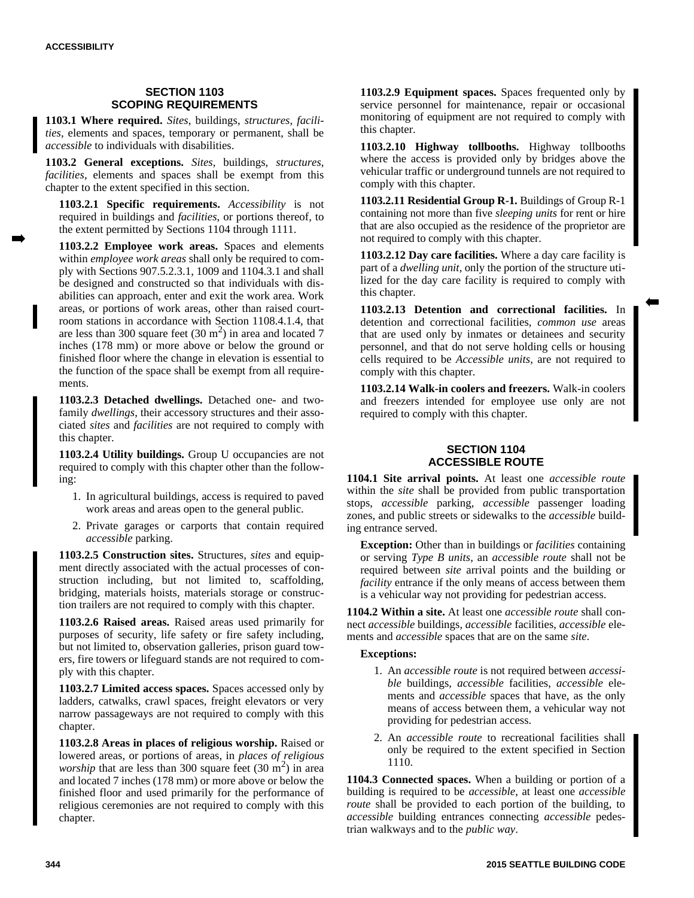# **SECTION 1103 SCOPING REQUIREMENTS**

**1103.1 Where required.** *Sites*, buildings, *structures*, *facilities*, elements and spaces, temporary or permanent, shall be *accessible* to individuals with disabilities.

**1103.2 General exceptions.** *Sites*, buildings, *structures*, *facilities*, elements and spaces shall be exempt from this chapter to the extent specified in this section.

**1103.2.1 Specific requirements.** *Accessibility* is not required in buildings and *facilities*, or portions thereof, to the extent permitted by Sections 1104 through 1111.

**1103.2.2 Employee work areas.** Spaces and elements within *employee work areas* shall only be required to comply with Sections 907.5.2.3.1, 1009 and 1104.3.1 and shall be designed and constructed so that individuals with disabilities can approach, enter and exit the work area. Work areas, or portions of work areas, other than raised courtroom stations in accordance with Section 1108.4.1.4, that are less than 300 square feet  $(30 \text{ m}^2)$  in area and located 7 inches (178 mm) or more above or below the ground or finished floor where the change in elevation is essential to the function of the space shall be exempt from all requirements.

**1103.2.3 Detached dwellings.** Detached one- and twofamily *dwellings*, their accessory structures and their associated *sites* and *facilities* are not required to comply with this chapter.

**1103.2.4 Utility buildings.** Group U occupancies are not required to comply with this chapter other than the following:

- 1. In agricultural buildings, access is required to paved work areas and areas open to the general public.
- 2. Private garages or carports that contain required *accessible* parking.

**1103.2.5 Construction sites.** Structures, *sites* and equipment directly associated with the actual processes of construction including, but not limited to, scaffolding, bridging, materials hoists, materials storage or construction trailers are not required to comply with this chapter.

**1103.2.6 Raised areas.** Raised areas used primarily for purposes of security, life safety or fire safety including, but not limited to, observation galleries, prison guard towers, fire towers or lifeguard stands are not required to comply with this chapter.

**1103.2.7 Limited access spaces.** Spaces accessed only by ladders, catwalks, crawl spaces, freight elevators or very narrow passageways are not required to comply with this chapter.

**1103.2.8 Areas in places of religious worship.** Raised or lowered areas, or portions of areas, in *places of religious worship* that are less than 300 square feet  $(30 \text{ m}^2)$  in area and located 7 inches (178 mm) or more above or below the finished floor and used primarily for the performance of religious ceremonies are not required to comply with this chapter.

**1103.2.9 Equipment spaces.** Spaces frequented only by service personnel for maintenance, repair or occasional monitoring of equipment are not required to comply with this chapter.

**1103.2.10 Highway tollbooths.** Highway tollbooths where the access is provided only by bridges above the vehicular traffic or underground tunnels are not required to comply with this chapter.

**1103.2.11 Residential Group R-1.** Buildings of Group R-1 containing not more than five *sleeping units* for rent or hire that are also occupied as the residence of the proprietor are not required to comply with this chapter.

**1103.2.12 Day care facilities.** Where a day care facility is part of a *dwelling unit*, only the portion of the structure utilized for the day care facility is required to comply with this chapter.

**1103.2.13 Detention and correctional facilities.** In detention and correctional facilities, *common use* areas that are used only by inmates or detainees and security personnel, and that do not serve holding cells or housing cells required to be *Accessible units*, are not required to comply with this chapter.

**1103.2.14 Walk-in coolers and freezers.** Walk-in coolers and freezers intended for employee use only are not required to comply with this chapter.

# **SECTION 1104 ACCESSIBLE ROUTE**

**1104.1 Site arrival points.** At least one *accessible route* within the *site* shall be provided from public transportation stops, *accessible* parking, *accessible* passenger loading zones, and public streets or sidewalks to the *accessible* building entrance served.

**Exception:** Other than in buildings or *facilities* containing or serving *Type B units*, an *accessible route* shall not be required between *site* arrival points and the building or *facility* entrance if the only means of access between them is a vehicular way not providing for pedestrian access.

**1104.2 Within a site.** At least one *accessible route* shall connect *accessible* buildings, *accessible* facilities, *accessible* elements and *accessible* spaces that are on the same *site*.

## **Exceptions:**

- 1. An *accessible route* is not required between *accessible* buildings, *accessible* facilities, *accessible* elements and *accessible* spaces that have, as the only means of access between them, a vehicular way not providing for pedestrian access.
- 2. An *accessible route* to recreational facilities shall only be required to the extent specified in Section 1110.

**1104.3 Connected spaces.** When a building or portion of a building is required to be *accessible*, at least one *accessible route* shall be provided to each portion of the building, to *accessible* building entrances connecting *accessible* pedestrian walkways and to the *public way*.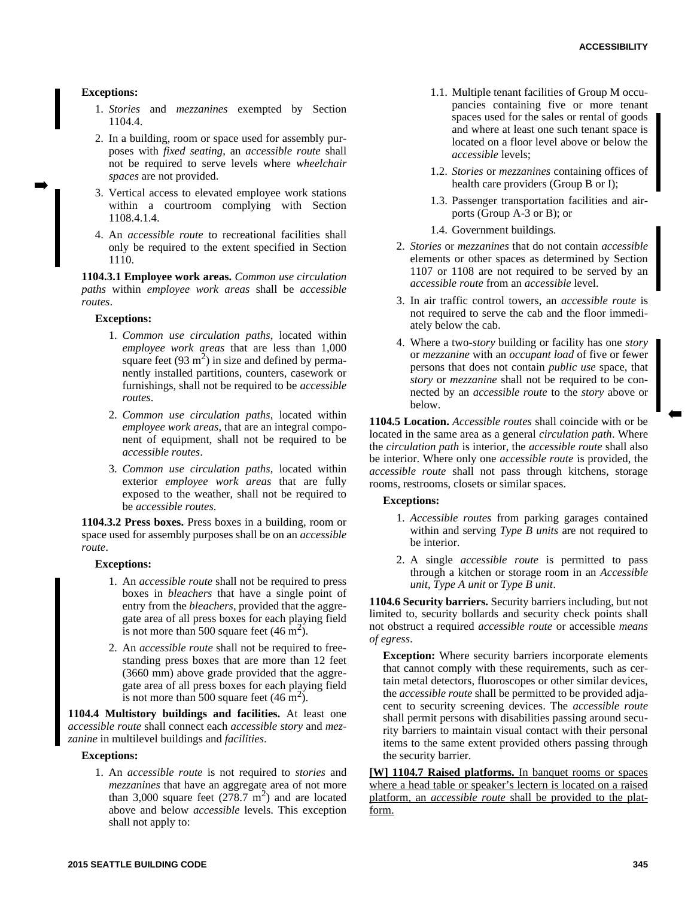### **Exceptions:**

- 1. *Stories* and *mezzanines* exempted by Section 1104.4.
- 2. In a building, room or space used for assembly purposes with *fixed seating*, an *accessible route* shall not be required to serve levels where *wheelchair spaces* are not provided.
- 3. Vertical access to elevated employee work stations within a courtroom complying with Section 1108.4.1.4.
- 4. An *accessible route* to recreational facilities shall only be required to the extent specified in Section 1110.

**1104.3.1 Employee work areas.** *Common use circulation paths* within *employee work areas* shall be *accessible routes*.

#### **Exceptions:**

- 1. *Common use circulation paths*, located within *employee work areas* that are less than 1,000 square feet  $(93 \text{ m}^2)$  in size and defined by permanently installed partitions, counters, casework or furnishings, shall not be required to be *accessible routes*.
- 2. *Common use circulation paths*, located within *employee work areas*, that are an integral component of equipment, shall not be required to be *accessible routes*.
- 3. *Common use circulation paths*, located within exterior *employee work areas* that are fully exposed to the weather, shall not be required to be *accessible routes*.

**1104.3.2 Press boxes.** Press boxes in a building, room or space used for assembly purposes shall be on an *accessible route*.

#### **Exceptions:**

- 1. An *accessible route* shall not be required to press boxes in *bleachers* that have a single point of entry from the *bleachers*, provided that the aggregate area of all press boxes for each playing field is not more than 500 square feet  $(46 \text{ m}^2)$ .
- 2. An *accessible route* shall not be required to freestanding press boxes that are more than 12 feet (3660 mm) above grade provided that the aggregate area of all press boxes for each playing field is not more than 500 square feet  $(46 \text{ m}^2)$ .

**1104.4 Multistory buildings and facilities.** At least one *accessible route* shall connect each *accessible story* and *mezzanine* in multilevel buildings and *facilities*.

#### **Exceptions:**

1. An *accessible route* is not required to *stories* and *mezzanines* that have an aggregate area of not more than 3,000 square feet  $(278.7 \text{ m}^2)$  and are located above and below *accessible* levels. This exception shall not apply to:

- 1.1. Multiple tenant facilities of Group M occupancies containing five or more tenant spaces used for the sales or rental of goods and where at least one such tenant space is located on a floor level above or below the *accessible* levels;
- 1.2. *Stories* or *mezzanines* containing offices of health care providers (Group B or I);
- 1.3. Passenger transportation facilities and airports (Group A-3 or B); or
- 1.4. Government buildings.
- 2. *Stories* or *mezzanines* that do not contain *accessible* elements or other spaces as determined by Section 1107 or 1108 are not required to be served by an *accessible route* from an *accessible* level.
- 3. In air traffic control towers, an *accessible route* is not required to serve the cab and the floor immediately below the cab.
- 4. Where a two-*story* building or facility has one *story* or *mezzanine* with an *occupant load* of five or fewer persons that does not contain *public use* space, that *story* or *mezzanine* shall not be required to be connected by an *accessible route* to the *story* above or below.

**1104.5 Location.** *Accessible routes* shall coincide with or be located in the same area as a general *circulation path*. Where the *circulation path* is interior, the *accessible route* shall also be interior. Where only one *accessible route* is provided, the *accessible route* shall not pass through kitchens, storage rooms, restrooms, closets or similar spaces.

#### **Exceptions:**

- 1. *Accessible routes* from parking garages contained within and serving *Type B units* are not required to be interior.
- 2. A single *accessible route* is permitted to pass through a kitchen or storage room in an *Accessible unit*, *Type A unit* or *Type B unit*.

**1104.6 Security barriers.** Security barriers including, but not limited to, security bollards and security check points shall not obstruct a required *accessible route* or accessible *means of egress*.

**Exception:** Where security barriers incorporate elements that cannot comply with these requirements, such as certain metal detectors, fluoroscopes or other similar devices, the *accessible route* shall be permitted to be provided adjacent to security screening devices. The *accessible route* shall permit persons with disabilities passing around security barriers to maintain visual contact with their personal items to the same extent provided others passing through the security barrier.

**[W] 1104.7 Raised platforms.** In banquet rooms or spaces where a head table or speaker's lectern is located on a raised platform, an *accessible route* shall be provided to the platform.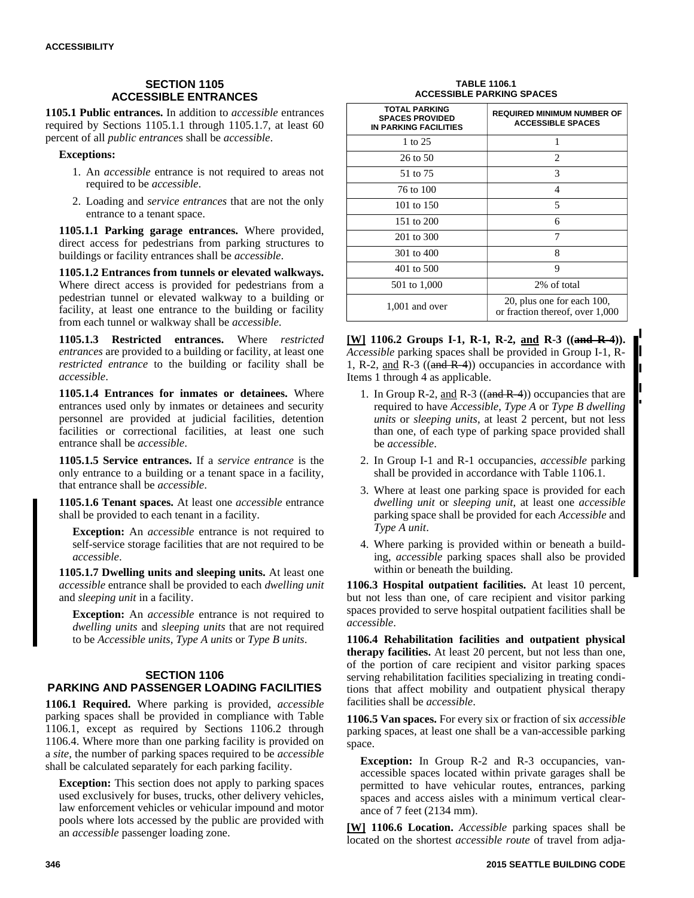# **SECTION 1105 ACCESSIBLE ENTRANCES**

**1105.1 Public entrances.** In addition to *accessible* entrances required by Sections 1105.1.1 through 1105.1.7, at least 60 percent of all *public entrance*s shall be *accessible*.

#### **Exceptions:**

- 1. An *accessible* entrance is not required to areas not required to be *accessible*.
- 2. Loading and *service entrances* that are not the only entrance to a tenant space.

**1105.1.1 Parking garage entrances.** Where provided, direct access for pedestrians from parking structures to buildings or facility entrances shall be *accessible*.

**1105.1.2 Entrances from tunnels or elevated walkways.** Where direct access is provided for pedestrians from a pedestrian tunnel or elevated walkway to a building or facility, at least one entrance to the building or facility from each tunnel or walkway shall be *accessible*.

**1105.1.3 Restricted entrances.** Where *restricted entrances* are provided to a building or facility, at least one *restricted entrance* to the building or facility shall be *accessible*.

**1105.1.4 Entrances for inmates or detainees.** Where entrances used only by inmates or detainees and security personnel are provided at judicial facilities, detention facilities or correctional facilities, at least one such entrance shall be *accessible*.

**1105.1.5 Service entrances.** If a *service entrance* is the only entrance to a building or a tenant space in a facility, that entrance shall be *accessible*.

**1105.1.6 Tenant spaces.** At least one *accessible* entrance shall be provided to each tenant in a facility.

**Exception:** An *accessible* entrance is not required to self-service storage facilities that are not required to be *accessible*.

**1105.1.7 Dwelling units and sleeping units.** At least one *accessible* entrance shall be provided to each *dwelling unit* and *sleeping unit* in a facility.

**Exception:** An *accessible* entrance is not required to *dwelling units* and *sleeping units* that are not required to be *Accessible units*, *Type A units* or *Type B units*.

## **SECTION 1106 PARKING AND PASSENGER LOADING FACILITIES**

**1106.1 Required.** Where parking is provided, *accessible* parking spaces shall be provided in compliance with Table 1106.1, except as required by Sections 1106.2 through 1106.4. Where more than one parking facility is provided on a *site*, the number of parking spaces required to be *accessible* shall be calculated separately for each parking facility.

**Exception:** This section does not apply to parking spaces used exclusively for buses, trucks, other delivery vehicles, law enforcement vehicles or vehicular impound and motor pools where lots accessed by the public are provided with an *accessible* passenger loading zone.

#### **TABLE 1106.1 ACCESSIBLE PARKING SPACES**

| <b>TOTAL PARKING</b><br><b>SPACES PROVIDED</b><br><b>IN PARKING FACILITIES</b> | <b>REQUIRED MINIMUM NUMBER OF</b><br><b>ACCESSIBLE SPACES</b> |
|--------------------------------------------------------------------------------|---------------------------------------------------------------|
| 1 to 25                                                                        |                                                               |
| 26 to 50                                                                       | 2                                                             |
| 51 to 75                                                                       | 3                                                             |
| 76 to 100                                                                      | 4                                                             |
| 101 to $150$                                                                   | 5                                                             |
| 151 to 200                                                                     | 6                                                             |
| 201 to 300                                                                     | 7                                                             |
| 301 to 400                                                                     | 8                                                             |
| 401 to 500                                                                     | 9                                                             |
| 501 to 1,000                                                                   | 2% of total                                                   |
| $1,001$ and over                                                               | 20, plus one for each 100,<br>or fraction thereof, over 1,000 |

**[W] 1106.2 Groups I-1, R-1, R-2, and R-3 ((and R-4)).** *Accessible* parking spaces shall be provided in Group I-1, R-1, R-2, and R-3 ( $(and R-4)$ ) occupancies in accordance with Items 1 through 4 as applicable.

- 1. In Group R-2, and R-3 (( $\alpha$ nd R-4)) occupancies that are required to have *Accessible*, *Type A* or *Type B dwelling units* or *sleeping units*, at least 2 percent, but not less than one, of each type of parking space provided shall be *accessible*.
- 2. In Group I-1 and R-1 occupancies, *accessible* parking shall be provided in accordance with Table 1106.1.
- 3. Where at least one parking space is provided for each *dwelling unit* or *sleeping unit*, at least one *accessible* parking space shall be provided for each *Accessible* and *Type A unit*.
- 4. Where parking is provided within or beneath a building, *accessible* parking spaces shall also be provided within or beneath the building.

**1106.3 Hospital outpatient facilities.** At least 10 percent, but not less than one, of care recipient and visitor parking spaces provided to serve hospital outpatient facilities shall be *accessible*.

**1106.4 Rehabilitation facilities and outpatient physical therapy facilities.** At least 20 percent, but not less than one, of the portion of care recipient and visitor parking spaces serving rehabilitation facilities specializing in treating conditions that affect mobility and outpatient physical therapy facilities shall be *accessible*.

**1106.5 Van spaces.** For every six or fraction of six *accessible* parking spaces, at least one shall be a van-accessible parking space.

**Exception:** In Group R-2 and R-3 occupancies, vanaccessible spaces located within private garages shall be permitted to have vehicular routes, entrances, parking spaces and access aisles with a minimum vertical clearance of 7 feet (2134 mm).

**[W] 1106.6 Location.** *Accessible* parking spaces shall be located on the shortest *accessible route* of travel from adja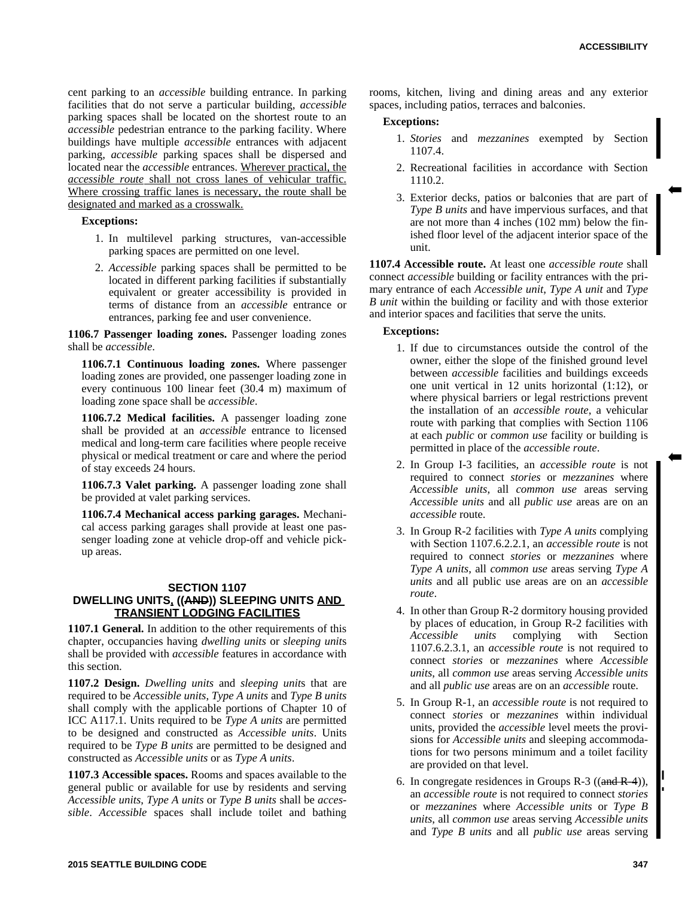cent parking to an *accessible* building entrance. In parking facilities that do not serve a particular building, *accessible* parking spaces shall be located on the shortest route to an *accessible* pedestrian entrance to the parking facility. Where buildings have multiple *accessible* entrances with adjacent parking, *accessible* parking spaces shall be dispersed and located near the *accessible* entrances. Wherever practical, the *accessible route* shall not cross lanes of vehicular traffic. Where crossing traffic lanes is necessary, the route shall be designated and marked as a crosswalk.

**Exceptions:**

- 1. In multilevel parking structures, van-accessible parking spaces are permitted on one level.
- 2. *Accessible* parking spaces shall be permitted to be located in different parking facilities if substantially equivalent or greater accessibility is provided in terms of distance from an *accessible* entrance or entrances, parking fee and user convenience.

**1106.7 Passenger loading zones.** Passenger loading zones shall be *accessible*.

**1106.7.1 Continuous loading zones.** Where passenger loading zones are provided, one passenger loading zone in every continuous 100 linear feet (30.4 m) maximum of loading zone space shall be *accessible*.

**1106.7.2 Medical facilities.** A passenger loading zone shall be provided at an *accessible* entrance to licensed medical and long-term care facilities where people receive physical or medical treatment or care and where the period of stay exceeds 24 hours.

**1106.7.3 Valet parking.** A passenger loading zone shall be provided at valet parking services.

**1106.7.4 Mechanical access parking garages.** Mechanical access parking garages shall provide at least one passenger loading zone at vehicle drop-off and vehicle pickup areas.

#### **SECTION 1107 DWELLING UNITS, ((AND)) SLEEPING UNITS AND TRANSIENT LODGING FACILITIES**

**1107.1 General.** In addition to the other requirements of this chapter, occupancies having *dwelling units* or *sleeping unit*s shall be provided with *accessible* features in accordance with this section.

**1107.2 Design.** *Dwelling units* and *sleeping unit*s that are required to be *Accessible units*, *Type A units* and *Type B units* shall comply with the applicable portions of Chapter 10 of ICC A117.1. Units required to be *Type A units* are permitted to be designed and constructed as *Accessible units*. Units required to be *Type B units* are permitted to be designed and constructed as *Accessible units* or as *Type A units*.

**1107.3 Accessible spaces.** Rooms and spaces available to the general public or available for use by residents and serving *Accessible units*, *Type A units* or *Type B units* shall be *accessible*. *Accessible* spaces shall include toilet and bathing

rooms, kitchen, living and dining areas and any exterior spaces, including patios, terraces and balconies.

#### **Exceptions:**

- 1. *Stories* and *mezzanines* exempted by Section 1107.4.
- 2. Recreational facilities in accordance with Section 1110.2.
- 3. Exterior decks, patios or balconies that are part of *Type B units* and have impervious surfaces, and that are not more than 4 inches (102 mm) below the finished floor level of the adjacent interior space of the unit.

**1107.4 Accessible route.** At least one *accessible route* shall connect *accessible* building or facility entrances with the primary entrance of each *Accessible unit*, *Type A unit* and *Type B unit* within the building or facility and with those exterior and interior spaces and facilities that serve the units.

#### **Exceptions:**

- 1. If due to circumstances outside the control of the owner, either the slope of the finished ground level between *accessible* facilities and buildings exceeds one unit vertical in 12 units horizontal (1:12), or where physical barriers or legal restrictions prevent the installation of an *accessible route*, a vehicular route with parking that complies with Section 1106 at each *public* or *common use* facility or building is permitted in place of the *accessible route*.
- 2. In Group I-3 facilities, an *accessible route* is not required to connect *stories* or *mezzanines* where *Accessible units*, all *common use* areas serving *Accessible units* and all *public use* areas are on an *accessible* route.
- 3. In Group R-2 facilities with *Type A units* complying with Section 1107.6.2.2.1, an *accessible route* is not required to connect *stories* or *mezzanines* where *Type A units*, all *common use* areas serving *Type A units* and all public use areas are on an *accessible route*.
- 4. In other than Group R-2 dormitory housing provided by places of education, in Group R-2 facilities with *Accessible units* complying with Section 1107.6.2.3.1, an *accessible route* is not required to connect *stories* or *mezzanines* where *Accessible units*, all *common use* areas serving *Accessible units* and all *public use* areas are on an *accessible* route.
- 5. In Group R-1, an *accessible route* is not required to connect *stories* or *mezzanines* within individual units, provided the *accessible* level meets the provisions for *Accessible units* and sleeping accommodations for two persons minimum and a toilet facility are provided on that level.
- 6. In congregate residences in Groups R-3  $((and R-4)),$ an *accessible route* is not required to connect *stories* or *mezzanines* where *Accessible units* or *Type B units*, all *common use* areas serving *Accessible units* and *Type B units* and all *public use* areas serving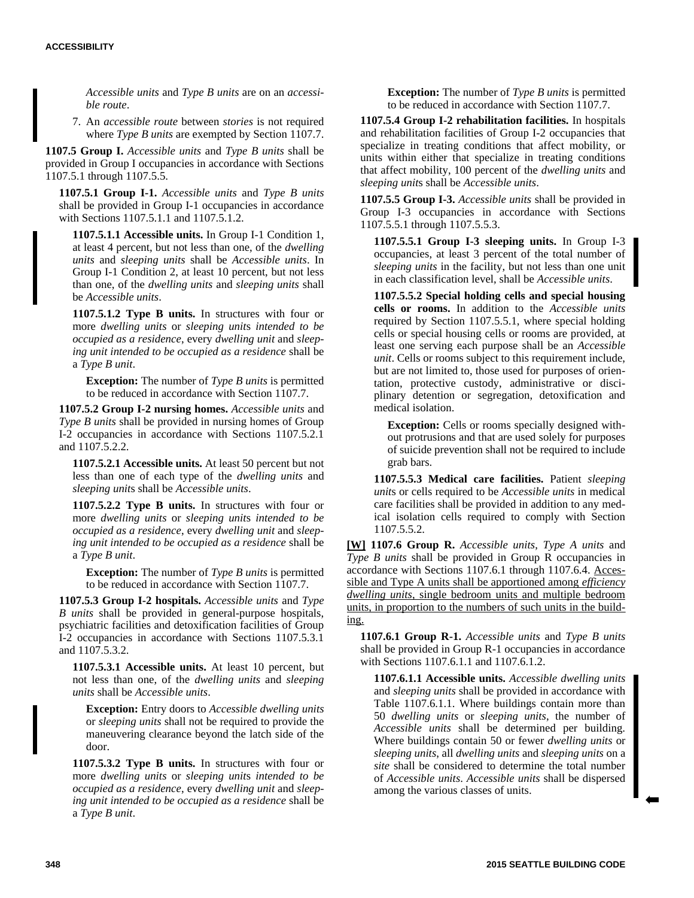*Accessible units* and *Type B units* are on an *accessible route*.

7. An *accessible route* between *stories* is not required where *Type B units* are exempted by Section 1107.7.

**1107.5 Group I.** *Accessible units* and *Type B units* shall be provided in Group I occupancies in accordance with Sections 1107.5.1 through 1107.5.5.

**1107.5.1 Group I-1.** *Accessible units* and *Type B units* shall be provided in Group I-1 occupancies in accordance with Sections 1107.5.1.1 and 1107.5.1.2.

**1107.5.1.1 Accessible units.** In Group I-1 Condition 1, at least 4 percent, but not less than one, of the *dwelling units* and *sleeping units* shall be *Accessible units*. In Group I-1 Condition 2, at least 10 percent, but not less than one, of the *dwelling units* and *sleeping units* shall be *Accessible units*.

**1107.5.1.2 Type B units.** In structures with four or more *dwelling units* or *sleeping unit*s *intended to be occupied as a residence*, every *dwelling unit* and *sleeping unit intended to be occupied as a residence* shall be a *Type B unit*.

**Exception:** The number of *Type B units* is permitted to be reduced in accordance with Section 1107.7.

**1107.5.2 Group I-2 nursing homes.** *Accessible units* and *Type B units* shall be provided in nursing homes of Group I-2 occupancies in accordance with Sections 1107.5.2.1 and 1107.5.2.2.

**1107.5.2.1 Accessible units.** At least 50 percent but not less than one of each type of the *dwelling units* and *sleeping unit*s shall be *Accessible units*.

**1107.5.2.2 Type B units.** In structures with four or more *dwelling units* or *sleeping unit*s *intended to be occupied as a residence*, every *dwelling unit* and *sleeping unit intended to be occupied as a residence* shall be a *Type B unit*.

**Exception:** The number of *Type B units* is permitted to be reduced in accordance with Section 1107.7.

**1107.5.3 Group I-2 hospitals.** *Accessible units* and *Type B units* shall be provided in general-purpose hospitals, psychiatric facilities and detoxification facilities of Group I-2 occupancies in accordance with Sections 1107.5.3.1 and 1107.5.3.2.

**1107.5.3.1 Accessible units.** At least 10 percent, but not less than one, of the *dwelling units* and *sleeping units* shall be *Accessible units*.

**Exception:** Entry doors to *Accessible dwelling units* or *sleeping units* shall not be required to provide the maneuvering clearance beyond the latch side of the door.

**1107.5.3.2 Type B units.** In structures with four or more *dwelling units* or *sleeping unit*s *intended to be occupied as a residence*, every *dwelling unit* and *sleeping unit intended to be occupied as a residence* shall be a *Type B unit*.

**Exception:** The number of *Type B units* is permitted to be reduced in accordance with Section 1107.7.

**1107.5.4 Group I-2 rehabilitation facilities.** In hospitals and rehabilitation facilities of Group I-2 occupancies that specialize in treating conditions that affect mobility, or units within either that specialize in treating conditions that affect mobility, 100 percent of the *dwelling units* and *sleeping unit*s shall be *Accessible units*.

**1107.5.5 Group I-3.** *Accessible units* shall be provided in Group I-3 occupancies in accordance with Sections 1107.5.5.1 through 1107.5.5.3.

**1107.5.5.1 Group I-3 sleeping units.** In Group I-3 occupancies, at least 3 percent of the total number of *sleeping units* in the facility, but not less than one unit in each classification level, shall be *Accessible units*.

**1107.5.5.2 Special holding cells and special housing cells or rooms.** In addition to the *Accessible units* required by Section 1107.5.5.1, where special holding cells or special housing cells or rooms are provided, at least one serving each purpose shall be an *Accessible unit*. Cells or rooms subject to this requirement include, but are not limited to, those used for purposes of orientation, protective custody, administrative or disciplinary detention or segregation, detoxification and medical isolation.

**Exception:** Cells or rooms specially designed without protrusions and that are used solely for purposes of suicide prevention shall not be required to include grab bars.

**1107.5.5.3 Medical care facilities.** Patient *sleeping unit*s or cells required to be *Accessible units* in medical care facilities shall be provided in addition to any medical isolation cells required to comply with Section 1107.5.5.2.

**[W] 1107.6 Group R.** *Accessible units*, *Type A units* and *Type B units* shall be provided in Group R occupancies in accordance with Sections 1107.6.1 through 1107.6.4. Accessible and Type A units shall be apportioned among *efficiency dwelling units*, single bedroom units and multiple bedroom units, in proportion to the numbers of such units in the building.

**1107.6.1 Group R-1.** *Accessible units* and *Type B units* shall be provided in Group R-1 occupancies in accordance with Sections 1107.6.1.1 and 1107.6.1.2.

**1107.6.1.1 Accessible units.** *Accessible dwelling units* and *sleeping units* shall be provided in accordance with Table 1107.6.1.1. Where buildings contain more than 50 *dwelling units* or *sleeping units*, the number of *Accessible units* shall be determined per building. Where buildings contain 50 or fewer *dwelling units* or *sleeping units*, all *dwelling units* and *sleeping units* on a *site* shall be considered to determine the total number of *Accessible units*. *Accessible units* shall be dispersed among the various classes of units.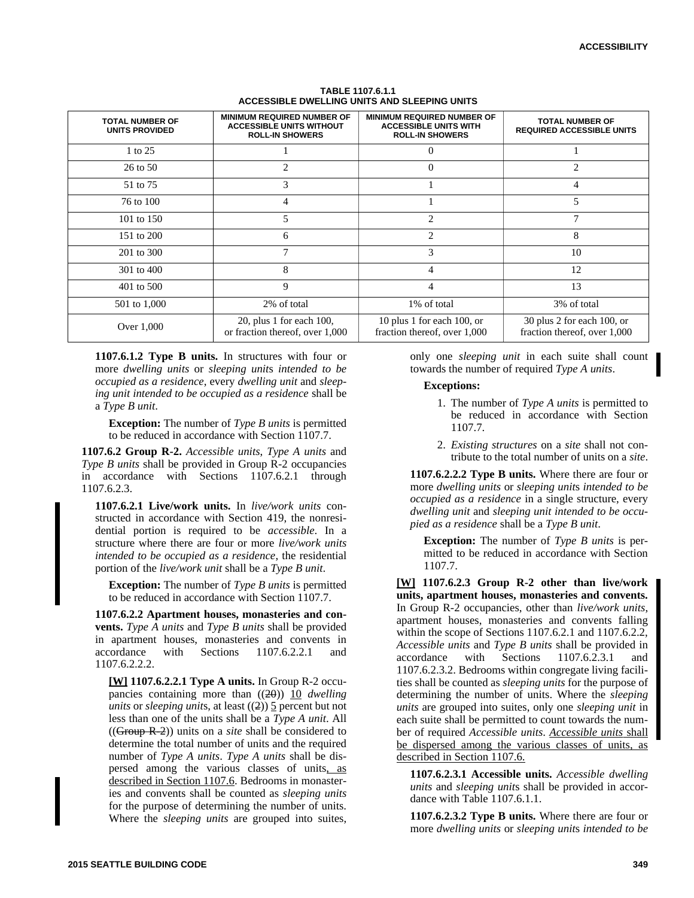| <b>TOTAL NUMBER OF</b><br>UNITS PROVIDED | <b>MINIMUM REQUIRED NUMBER OF</b><br><b>ACCESSIBLE UNITS WITHOUT</b><br><b>ROLL-IN SHOWERS</b> | <b>MINIMUM REQUIRED NUMBER OF</b><br><b>ACCESSIBLE UNITS WITH</b><br><b>ROLL-IN SHOWERS</b> | <b>TOTAL NUMBER OF</b><br><b>REQUIRED ACCESSIBLE UNITS</b> |
|------------------------------------------|------------------------------------------------------------------------------------------------|---------------------------------------------------------------------------------------------|------------------------------------------------------------|
| 1 to 25                                  |                                                                                                |                                                                                             |                                                            |
| 26 to 50                                 | $\overline{c}$                                                                                 |                                                                                             | $\overline{c}$                                             |
| 51 to 75                                 | 3                                                                                              |                                                                                             | 4                                                          |
| 76 to 100                                | 4                                                                                              |                                                                                             | 5                                                          |
| 101 to 150                               | 5                                                                                              | $\overline{c}$                                                                              | 7                                                          |
| 151 to 200                               | 6                                                                                              | 2                                                                                           | 8                                                          |
| 201 to 300                               | 7                                                                                              | 3                                                                                           | 10                                                         |
| 301 to 400                               | 8                                                                                              | 4                                                                                           | 12                                                         |
| 401 to 500                               | 9                                                                                              | 4                                                                                           | 13                                                         |
| 501 to 1,000                             | 2% of total                                                                                    | 1% of total                                                                                 | 3% of total                                                |
| Over 1,000                               | 20, plus 1 for each 100,<br>or fraction thereof, over 1,000                                    | 10 plus 1 for each 100, or<br>fraction thereof, over 1,000                                  | 30 plus 2 for each 100, or<br>fraction thereof, over 1,000 |

#### **TABLE 1107.6.1.1 ACCESSIBLE DWELLING UNITS AND SLEEPING UNITS**

**1107.6.1.2 Type B units.** In structures with four or more *dwelling units* or *sleeping unit*s *intended to be occupied as a residence*, every *dwelling unit* and *sleeping unit intended to be occupied as a residence* shall be a *Type B unit*.

**Exception:** The number of *Type B units* is permitted to be reduced in accordance with Section 1107.7.

**1107.6.2 Group R-2.** *Accessible units*, *Type A units* and *Type B units* shall be provided in Group R-2 occupancies in accordance with Sections 1107.6.2.1 through 1107.6.2.3.

**1107.6.2.1 Live/work units.** In *live/work units* constructed in accordance with Section 419, the nonresidential portion is required to be *accessible*. In a structure where there are four or more *live/work units intended to be occupied as a residence*, the residential portion of the *live/work unit* shall be a *Type B unit*.

**Exception:** The number of *Type B units* is permitted to be reduced in accordance with Section 1107.7.

**1107.6.2.2 Apartment houses, monasteries and convents.** *Type A units* and *Type B units* shall be provided in apartment houses, monasteries and convents in accordance with Sections 1107.6.2.2.1 and 1107.6.2.2.2.

**[W] 1107.6.2.2.1 Type A units.** In Group R-2 occupancies containing more than ((20)) 10 *dwelling units* or *sleeping units*, at least  $((2))$  5 percent but not less than one of the units shall be a *Type A unit*. All ((Group R-2)) units on a *site* shall be considered to determine the total number of units and the required number of *Type A units*. *Type A units* shall be dispersed among the various classes of units, as described in Section 1107.6. Bedrooms in monasteries and convents shall be counted as *sleeping units* for the purpose of determining the number of units. Where the *sleeping units* are grouped into suites,

only one *sleeping unit* in each suite shall count towards the number of required *Type A units*.

#### **Exceptions:**

- 1. The number of *Type A units* is permitted to be reduced in accordance with Section 1107.7.
- 2. *Existing structures* on a *site* shall not contribute to the total number of units on a *site*.

**1107.6.2.2.2 Type B units.** Where there are four or more *dwelling units* or *sleeping unit*s *intended to be occupied as a residence* in a single structure, every *dwelling unit* and *sleeping unit intended to be occupied as a residence* shall be a *Type B unit*.

**Exception:** The number of *Type B units* is permitted to be reduced in accordance with Section 1107.7.

**[W] 1107.6.2.3 Group R-2 other than live/work units, apartment houses, monasteries and convents.** In Group R-2 occupancies, other than *live/work units*, apartment houses, monasteries and convents falling within the scope of Sections 1107.6.2.1 and 1107.6.2.2, *Accessible units* and *Type B units* shall be provided in accordance with Sections 1107.6.2.3.1 and 1107.6.2.3.2. Bedrooms within congregate living facilities shall be counted as *sleeping units* for the purpose of determining the number of units. Where the *sleeping units* are grouped into suites, only one *sleeping unit* in each suite shall be permitted to count towards the number of required *Accessible units*. *Accessible units* shall be dispersed among the various classes of units, as described in Section 1107.6.

**1107.6.2.3.1 Accessible units.** *Accessible dwelling units* and *sleeping unit*s shall be provided in accordance with Table 1107.6.1.1.

**1107.6.2.3.2 Type B units.** Where there are four or more *dwelling units* or *sleeping unit*s *intended to be*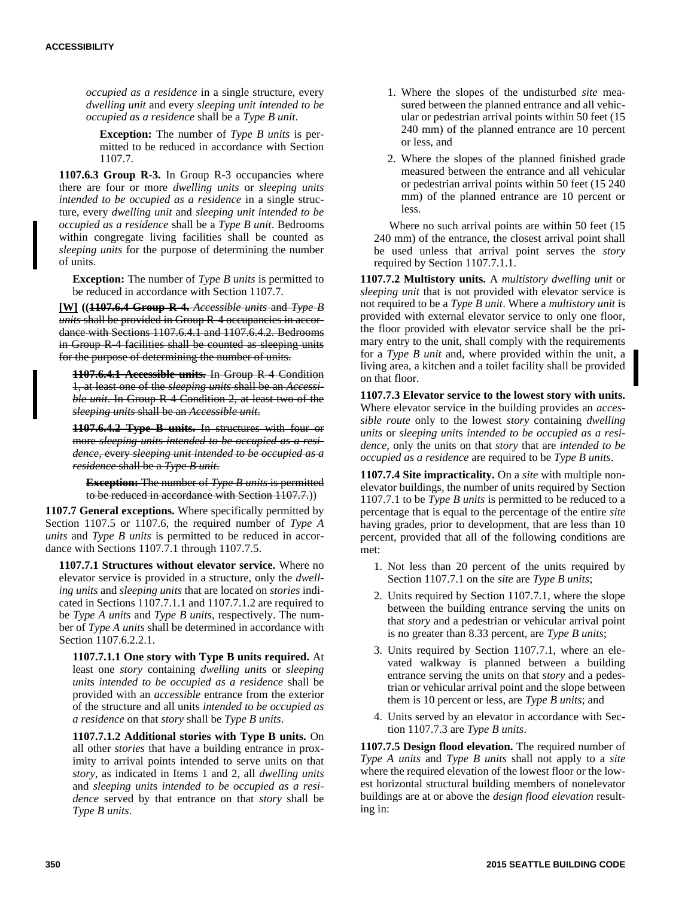*occupied as a residence* in a single structure, every *dwelling unit* and every *sleeping unit intended to be occupied as a residence* shall be a *Type B unit*.

**Exception:** The number of *Type B units* is permitted to be reduced in accordance with Section 1107.7.

**1107.6.3 Group R-3.** In Group R-3 occupancies where there are four or more *dwelling units* or *sleeping units intended to be occupied as a residence* in a single structure, every *dwelling unit* and *sleeping unit intended to be occupied as a residence* shall be a *Type B unit*. Bedrooms within congregate living facilities shall be counted as *sleeping units* for the purpose of determining the number of units.

**Exception:** The number of *Type B units* is permitted to be reduced in accordance with Section 1107.7.

**[W] ((1107.6.4 Group R-4.** *Accessible units* and *Type B units* shall be provided in Group R-4 occupancies in accordance with Sections 1107.6.4.1 and 1107.6.4.2. Bedrooms in Group R 4 facilities shall be counted as sleeping units for the purpose of determining the number of units.

**1107.6.4.1 Accessible units.** In Group R-4 Condition 1, at least one of the *sleeping units* shall be an *Accessible unit*. In Group R-4 Condition 2, at least two of the *sleeping units* shall be an *Accessible unit*.

**1107.6.4.2 Type B units.** In structures with four or more *sleeping unit*s *intended to be occupied as a residence*, every *sleeping unit intended to be occupied as a residence* shall be a *Type B unit*.

**Exception:** The number of *Type B units* is permitted to be reduced in accordance with Section 1107.7.))

**1107.7 General exceptions.** Where specifically permitted by Section 1107.5 or 1107.6, the required number of *Type A units* and *Type B units* is permitted to be reduced in accordance with Sections 1107.7.1 through 1107.7.5.

**1107.7.1 Structures without elevator service.** Where no elevator service is provided in a structure, only the *dwelling units* and *sleeping units* that are located on *stories* indicated in Sections 1107.7.1.1 and 1107.7.1.2 are required to be *Type A units* and *Type B units*, respectively. The number of *Type A units* shall be determined in accordance with Section 1107.6.2.2.1.

**1107.7.1.1 One story with Type B units required.** At least one *story* containing *dwelling units* or *sleeping unit*s *intended to be occupied as a residence* shall be provided with an *accessible* entrance from the exterior of the structure and all units *intended to be occupied as a residence* on that *story* shall be *Type B units*.

**1107.7.1.2 Additional stories with Type B units.** On all other *stories* that have a building entrance in proximity to arrival points intended to serve units on that *story*, as indicated in Items 1 and 2, all *dwelling units* and *sleeping unit*s *intended to be occupied as a residence* served by that entrance on that *story* shall be *Type B units*.

- 1. Where the slopes of the undisturbed *site* measured between the planned entrance and all vehicular or pedestrian arrival points within 50 feet (15 240 mm) of the planned entrance are 10 percent or less, and
- 2. Where the slopes of the planned finished grade measured between the entrance and all vehicular or pedestrian arrival points within 50 feet (15 240 mm) of the planned entrance are 10 percent or less.

Where no such arrival points are within 50 feet (15 240 mm) of the entrance, the closest arrival point shall be used unless that arrival point serves the *story* required by Section 1107.7.1.1.

**1107.7.2 Multistory units.** A *multistory dwelling unit* or *sleeping unit* that is not provided with elevator service is not required to be a *Type B unit*. Where a *multistory unit* is provided with external elevator service to only one floor, the floor provided with elevator service shall be the primary entry to the unit, shall comply with the requirements for a *Type B unit* and, where provided within the unit, a living area, a kitchen and a toilet facility shall be provided on that floor.

**1107.7.3 Elevator service to the lowest story with units.** Where elevator service in the building provides an *accessible route* only to the lowest *story* containing *dwelling units* or *sleeping unit*s *intended to be occupied as a residence*, only the units on that *story* that are *intended to be occupied as a residence* are required to be *Type B units*.

**1107.7.4 Site impracticality.** On a *site* with multiple nonelevator buildings, the number of units required by Section 1107.7.1 to be *Type B units* is permitted to be reduced to a percentage that is equal to the percentage of the entire *site* having grades, prior to development, that are less than 10 percent, provided that all of the following conditions are met:

- 1. Not less than 20 percent of the units required by Section 1107.7.1 on the *site* are *Type B units*;
- 2. Units required by Section 1107.7.1, where the slope between the building entrance serving the units on that *story* and a pedestrian or vehicular arrival point is no greater than 8.33 percent, are *Type B units*;
- 3. Units required by Section 1107.7.1, where an elevated walkway is planned between a building entrance serving the units on that *story* and a pedestrian or vehicular arrival point and the slope between them is 10 percent or less, are *Type B units*; and
- 4. Units served by an elevator in accordance with Section 1107.7.3 are *Type B units*.

**1107.7.5 Design flood elevation.** The required number of *Type A units* and *Type B units* shall not apply to a *site* where the required elevation of the lowest floor or the lowest horizontal structural building members of nonelevator buildings are at or above the *design flood elevation* resulting in: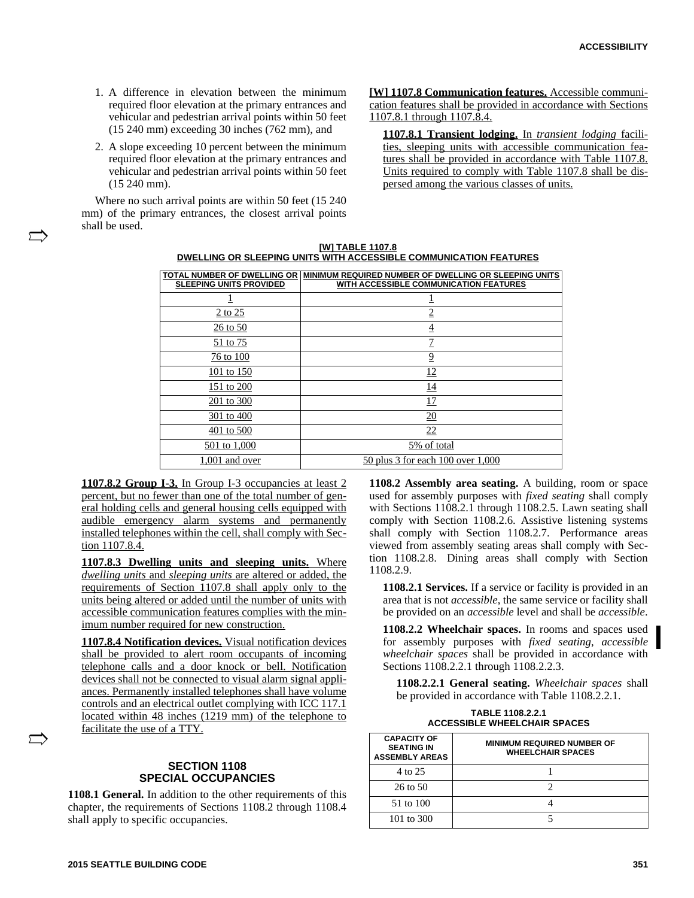- 1. A difference in elevation between the minimum required floor elevation at the primary entrances and vehicular and pedestrian arrival points within 50 feet (15 240 mm) exceeding 30 inches (762 mm), and
- 2. A slope exceeding 10 percent between the minimum required floor elevation at the primary entrances and vehicular and pedestrian arrival points within 50 feet (15 240 mm).

Where no such arrival points are within 50 feet (15 240 mm) of the primary entrances, the closest arrival points shall be used.

**[W] 1107.8 Communication features.** Accessible communication features shall be provided in accordance with Sections 1107.8.1 through 1107.8.4.

**1107.8.1 Transient lodging.** In *transient lodging* facilities, sleeping units with accessible communication features shall be provided in accordance with Table 1107.8. Units required to comply with Table 1107.8 shall be dispersed among the various classes of units.

| <b>IWI TABLE 1107.8</b>                                           |
|-------------------------------------------------------------------|
| DWELLING OR SLEEPING UNITS WITH ACCESSIBLE COMMUNICATION FEATURES |

| TOTAL NUMBER OF DWELLING OR    | MINIMUM REQUIRED NUMBER OF DWELLING OR SLEEPING UNITS |
|--------------------------------|-------------------------------------------------------|
| <b>SLEEPING UNITS PROVIDED</b> | WITH ACCESSIBLE COMMUNICATION FEATURES                |
|                                |                                                       |
|                                |                                                       |
| 2 to 25                        | $\overline{2}$                                        |
| 26 to 50                       | 4                                                     |
| 51 to 75                       | $\overline{1}$                                        |
| 76 to 100                      | 9                                                     |
| 101 to 150                     | <u> 12</u>                                            |
| 151 to 200                     | 14                                                    |
| 201 to 300                     | 17                                                    |
| 301 to 400                     | 20                                                    |
| 401 to 500                     | 22                                                    |
| 501 to 1,000                   | 5% of total                                           |
| 1,001 and over                 | 50 plus 3 for each 100 over 1,000                     |

**1107.8.2 Group I-3.** In Group I-3 occupancies at least 2 percent, but no fewer than one of the total number of general holding cells and general housing cells equipped with audible emergency alarm systems and permanently installed telephones within the cell, shall comply with Section 1107.8.4.

**1107.8.3 Dwelling units and sleeping units.** Where *dwelling units* and *sleeping units* are altered or added, the requirements of Section 1107.8 shall apply only to the units being altered or added until the number of units with accessible communication features complies with the minimum number required for new construction.

**1107.8.4 Notification devices.** Visual notification devices shall be provided to alert room occupants of incoming telephone calls and a door knock or bell. Notification devices shall not be connected to visual alarm signal appliances. Permanently installed telephones shall have volume controls and an electrical outlet complying with ICC 117.1 located within 48 inches (1219 mm) of the telephone to facilitate the use of a TTY.

# **SECTION 1108 SPECIAL OCCUPANCIES**

**1108.1 General.** In addition to the other requirements of this chapter, the requirements of Sections 1108.2 through 1108.4 shall apply to specific occupancies.

**1108.2 Assembly area seating.** A building, room or space used for assembly purposes with *fixed seating* shall comply with Sections 1108.2.1 through 1108.2.5. Lawn seating shall comply with Section 1108.2.6. Assistive listening systems shall comply with Section 1108.2.7. Performance areas viewed from assembly seating areas shall comply with Section 1108.2.8. Dining areas shall comply with Section 1108.2.9.

**1108.2.1 Services.** If a service or facility is provided in an area that is not *accessible*, the same service or facility shall be provided on an *accessible* level and shall be *accessible*.

**1108.2.2 Wheelchair spaces.** In rooms and spaces used for assembly purposes with *fixed seating*, *accessible wheelchair spaces* shall be provided in accordance with Sections 1108.2.2.1 through 1108.2.2.3.

**1108.2.2.1 General seating.** *Wheelchair spaces* shall be provided in accordance with Table 1108.2.2.1.

| TABLE 1108.2.2.1                    |
|-------------------------------------|
| <b>ACCESSIBLE WHEELCHAIR SPACES</b> |

| <b>CAPACITY OF</b><br><b>SEATING IN</b><br><b>ASSEMBLY AREAS</b> | <b>MINIMUM REQUIRED NUMBER OF</b><br><b>WHEELCHAIR SPACES</b> |
|------------------------------------------------------------------|---------------------------------------------------------------|
| 4 to 25                                                          |                                                               |
| 26 to 50                                                         |                                                               |
| 51 to 100                                                        |                                                               |
| 101 to $300$                                                     |                                                               |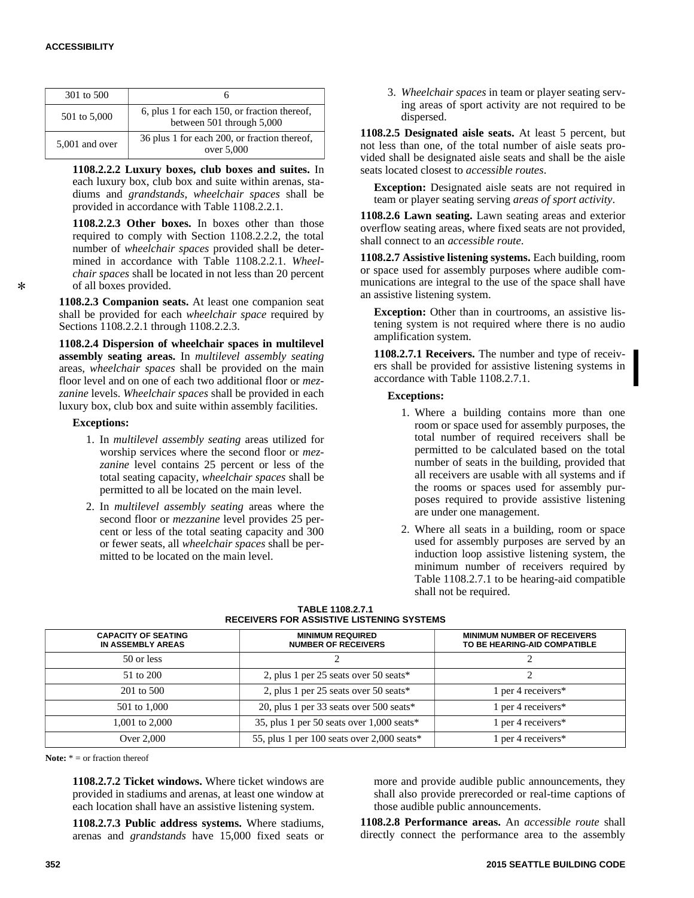$\star$ 

| 301 to 500     |                                                                           |
|----------------|---------------------------------------------------------------------------|
| 501 to 5,000   | 6, plus 1 for each 150, or fraction thereof,<br>between 501 through 5,000 |
| 5,001 and over | 36 plus 1 for each 200, or fraction thereof,<br>over 5,000                |

**1108.2.2.2 Luxury boxes, club boxes and suites.** In each luxury box, club box and suite within arenas, stadiums and *grandstands*, *wheelchair spaces* shall be provided in accordance with Table 1108.2.2.1.

**1108.2.2.3 Other boxes.** In boxes other than those required to comply with Section 1108.2.2.2, the total number of *wheelchair spaces* provided shall be determined in accordance with Table 1108.2.2.1. *Wheelchair spaces* shall be located in not less than 20 percent of all boxes provided.

**1108.2.3 Companion seats.** At least one companion seat shall be provided for each *wheelchair space* required by Sections 1108.2.2.1 through 1108.2.2.3.

**1108.2.4 Dispersion of wheelchair spaces in multilevel assembly seating areas.** In *multilevel assembly seating* areas, *wheelchair spaces* shall be provided on the main floor level and on one of each two additional floor or *mezzanine* levels. *Wheelchair spaces* shall be provided in each luxury box, club box and suite within assembly facilities.

#### **Exceptions:**

- 1. In *multilevel assembly seating* areas utilized for worship services where the second floor or *mezzanine* level contains 25 percent or less of the total seating capacity, *wheelchair spaces* shall be permitted to all be located on the main level.
- 2. In *multilevel assembly seating* areas where the second floor or *mezzanine* level provides 25 percent or less of the total seating capacity and 300 or fewer seats, all *wheelchair spaces* shall be permitted to be located on the main level.

3. *Wheelchair spaces* in team or player seating serving areas of sport activity are not required to be dispersed.

**1108.2.5 Designated aisle seats.** At least 5 percent, but not less than one, of the total number of aisle seats provided shall be designated aisle seats and shall be the aisle seats located closest to *accessible routes*.

**Exception:** Designated aisle seats are not required in team or player seating serving *areas of sport activity*.

**1108.2.6 Lawn seating.** Lawn seating areas and exterior overflow seating areas, where fixed seats are not provided, shall connect to an *accessible route*.

**1108.2.7 Assistive listening systems.** Each building, room or space used for assembly purposes where audible communications are integral to the use of the space shall have an assistive listening system.

**Exception:** Other than in courtrooms, an assistive listening system is not required where there is no audio amplification system.

**1108.2.7.1 Receivers.** The number and type of receivers shall be provided for assistive listening systems in accordance with Table 1108.2.7.1.

#### **Exceptions:**

- 1. Where a building contains more than one room or space used for assembly purposes, the total number of required receivers shall be permitted to be calculated based on the total number of seats in the building, provided that all receivers are usable with all systems and if the rooms or spaces used for assembly purposes required to provide assistive listening are under one management.
- 2. Where all seats in a building, room or space used for assembly purposes are served by an induction loop assistive listening system, the minimum number of receivers required by Table 1108.2.7.1 to be hearing-aid compatible shall not be required.

| <b>CAPACITY OF SEATING</b><br>IN ASSEMBLY AREAS | <b>MINIMUM REQUIRED</b><br><b>NUMBER OF RECEIVERS</b> | <b>MINIMUM NUMBER OF RECEIVERS</b><br>TO BE HEARING-AID COMPATIBLE |
|-------------------------------------------------|-------------------------------------------------------|--------------------------------------------------------------------|
| 50 or less                                      |                                                       |                                                                    |
| 51 to 200                                       | 2, plus 1 per 25 seats over 50 seats*                 |                                                                    |
| 201 to 500                                      | 2, plus 1 per 25 seats over 50 seats*                 | 1 per 4 receivers $*$                                              |
| 501 to 1,000                                    | 20, plus 1 per 33 seats over $500$ seats*             | 1 per 4 receivers $*$                                              |
| 1,001 to 2,000                                  | 35, plus 1 per 50 seats over $1,000$ seats*           | 1 per 4 receivers $*$                                              |
| Over 2,000                                      | 55, plus 1 per 100 seats over $2,000$ seats*          | 1 per 4 receivers*                                                 |

**TABLE 1108.2.7.1 RECEIVERS FOR ASSISTIVE LISTENING SYSTEMS**

**Note:** \* = or fraction thereof

**1108.2.7.2 Ticket windows.** Where ticket windows are provided in stadiums and arenas, at least one window at each location shall have an assistive listening system.

**1108.2.7.3 Public address systems.** Where stadiums, arenas and *grandstands* have 15,000 fixed seats or more and provide audible public announcements, they shall also provide prerecorded or real-time captions of those audible public announcements.

**1108.2.8 Performance areas.** An *accessible route* shall directly connect the performance area to the assembly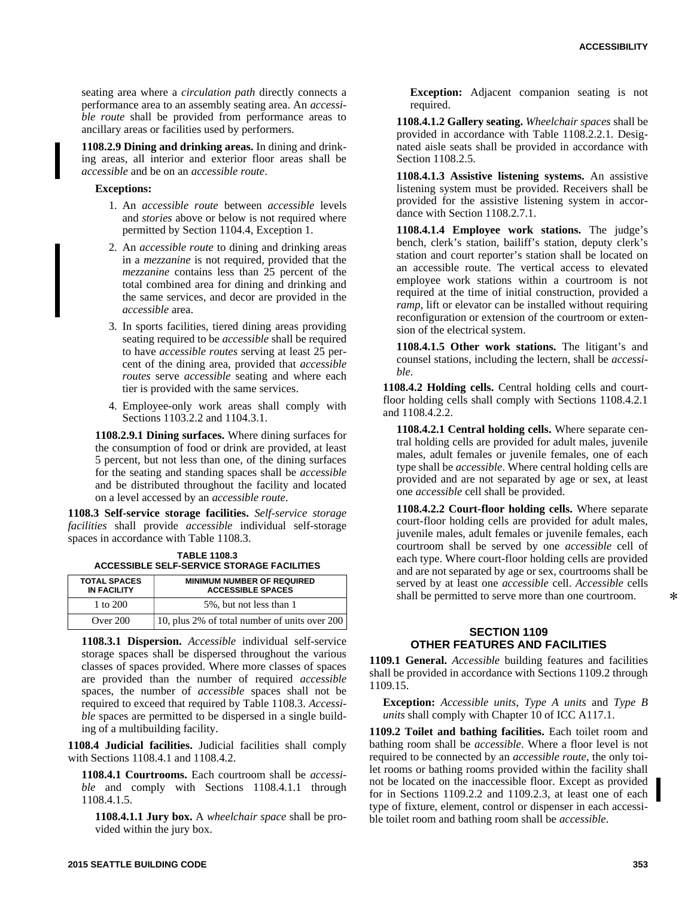seating area where a *circulation path* directly connects a performance area to an assembly seating area. An *accessible route* shall be provided from performance areas to ancillary areas or facilities used by performers.

**1108.2.9 Dining and drinking areas.** In dining and drinking areas, all interior and exterior floor areas shall be *accessible* and be on an *accessible route*.

#### **Exceptions:**

- 1. An *accessible route* between *accessible* levels and *stories* above or below is not required where permitted by Section 1104.4, Exception 1.
- 2. An *accessible route* to dining and drinking areas in a *mezzanine* is not required, provided that the *mezzanine* contains less than 25 percent of the total combined area for dining and drinking and the same services, and decor are provided in the *accessible* area.
- 3. In sports facilities, tiered dining areas providing seating required to be *accessible* shall be required to have *accessible routes* serving at least 25 percent of the dining area, provided that *accessible routes* serve *accessible* seating and where each tier is provided with the same services.
- 4. Employee-only work areas shall comply with Sections 1103.2.2 and 1104.3.1.

**1108.2.9.1 Dining surfaces.** Where dining surfaces for the consumption of food or drink are provided, at least 5 percent, but not less than one, of the dining surfaces for the seating and standing spaces shall be *accessible* and be distributed throughout the facility and located on a level accessed by an *accessible route*.

**1108.3 Self-service storage facilities.** *Self-service storage facilities* shall provide *accessible* individual self-storage spaces in accordance with Table 1108.3.

**TABLE 1108.3 ACCESSIBLE SELF-SERVICE STORAGE FACILITIES**

| <b>TOTAL SPACES</b><br><b>IN FACILITY</b> | <b>MINIMUM NUMBER OF REQUIRED</b><br><b>ACCESSIBLE SPACES</b> |
|-------------------------------------------|---------------------------------------------------------------|
| 1 to 200                                  | 5%, but not less than 1                                       |
| Over $200$                                | 10, plus 2% of total number of units over 200                 |

**1108.3.1 Dispersion.** *Accessible* individual self-service storage spaces shall be dispersed throughout the various classes of spaces provided. Where more classes of spaces are provided than the number of required *accessible* spaces, the number of *accessible* spaces shall not be required to exceed that required by Table 1108.3. *Accessible* spaces are permitted to be dispersed in a single building of a multibuilding facility.

**1108.4 Judicial facilities.** Judicial facilities shall comply with Sections 1108.4.1 and 1108.4.2.

**1108.4.1 Courtrooms.** Each courtroom shall be *accessible* and comply with Sections 1108.4.1.1 through 1108.4.1.5.

**1108.4.1.1 Jury box.** A *wheelchair space* shall be provided within the jury box.

**Exception:** Adjacent companion seating is not required.

**1108.4.1.2 Gallery seating.** *Wheelchair spaces* shall be provided in accordance with Table 1108.2.2.1. Designated aisle seats shall be provided in accordance with Section 1108.2.5.

**1108.4.1.3 Assistive listening systems.** An assistive listening system must be provided. Receivers shall be provided for the assistive listening system in accordance with Section 1108.2.7.1.

**1108.4.1.4 Employee work stations.** The judge's bench, clerk's station, bailiff's station, deputy clerk's station and court reporter's station shall be located on an accessible route. The vertical access to elevated employee work stations within a courtroom is not required at the time of initial construction, provided a *ramp*, lift or elevator can be installed without requiring reconfiguration or extension of the courtroom or extension of the electrical system.

**1108.4.1.5 Other work stations.** The litigant's and counsel stations, including the lectern, shall be *accessible*.

**1108.4.2 Holding cells.** Central holding cells and courtfloor holding cells shall comply with Sections 1108.4.2.1 and 1108.4.2.2.

**1108.4.2.1 Central holding cells.** Where separate central holding cells are provided for adult males, juvenile males, adult females or juvenile females, one of each type shall be *accessible*. Where central holding cells are provided and are not separated by age or sex, at least one *accessible* cell shall be provided.

**1108.4.2.2 Court-floor holding cells.** Where separate court-floor holding cells are provided for adult males, juvenile males, adult females or juvenile females, each courtroom shall be served by one *accessible* cell of each type. Where court-floor holding cells are provided and are not separated by age or sex, courtrooms shall be served by at least one *accessible* cell. *Accessible* cells shall be permitted to serve more than one courtroom.

## **SECTION 1109 OTHER FEATURES AND FACILITIES**

**1109.1 General.** *Accessible* building features and facilities shall be provided in accordance with Sections 1109.2 through 1109.15.

**Exception:** *Accessible units*, *Type A units* and *Type B units* shall comply with Chapter 10 of ICC A117.1.

**1109.2 Toilet and bathing facilities.** Each toilet room and bathing room shall be *accessible*. Where a floor level is not required to be connected by an *accessible route*, the only toilet rooms or bathing rooms provided within the facility shall not be located on the inaccessible floor. Except as provided for in Sections 1109.2.2 and 1109.2.3, at least one of each type of fixture, element, control or dispenser in each accessible toilet room and bathing room shall be *accessible*.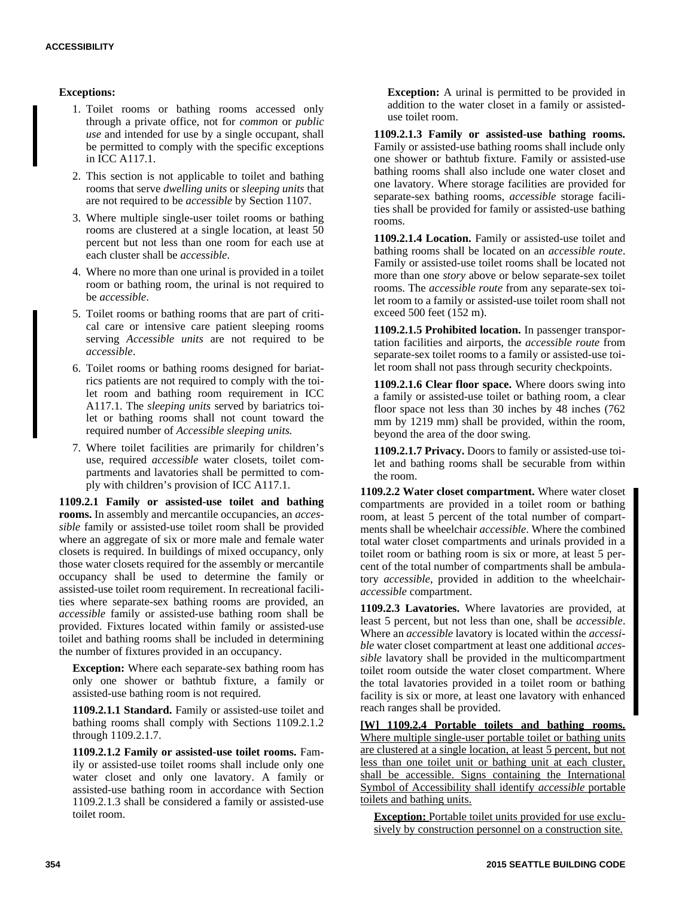## **Exceptions:**

- 1. Toilet rooms or bathing rooms accessed only through a private office, not for *common* or *public use* and intended for use by a single occupant, shall be permitted to comply with the specific exceptions in ICC A117.1.
- 2. This section is not applicable to toilet and bathing rooms that serve *dwelling units* or *sleeping units* that are not required to be *accessible* by Section 1107.
- 3. Where multiple single-user toilet rooms or bathing rooms are clustered at a single location, at least 50 percent but not less than one room for each use at each cluster shall be *accessible*.
- 4. Where no more than one urinal is provided in a toilet room or bathing room, the urinal is not required to be *accessible*.
- 5. Toilet rooms or bathing rooms that are part of critical care or intensive care patient sleeping rooms serving *Accessible units* are not required to be *accessible*.
- 6. Toilet rooms or bathing rooms designed for bariatrics patients are not required to comply with the toilet room and bathing room requirement in ICC A117.1. The *sleeping units* served by bariatrics toilet or bathing rooms shall not count toward the required number of *Accessible sleeping units.*
- 7. Where toilet facilities are primarily for children's use, required *accessible* water closets, toilet compartments and lavatories shall be permitted to comply with children's provision of ICC A117.1.

**1109.2.1 Family or assisted-use toilet and bathing rooms.** In assembly and mercantile occupancies, an *accessible* family or assisted-use toilet room shall be provided where an aggregate of six or more male and female water closets is required. In buildings of mixed occupancy, only those water closets required for the assembly or mercantile occupancy shall be used to determine the family or assisted-use toilet room requirement. In recreational facilities where separate-sex bathing rooms are provided, an *accessible* family or assisted-use bathing room shall be provided. Fixtures located within family or assisted-use toilet and bathing rooms shall be included in determining the number of fixtures provided in an occupancy.

**Exception:** Where each separate-sex bathing room has only one shower or bathtub fixture, a family or assisted-use bathing room is not required.

**1109.2.1.1 Standard.** Family or assisted-use toilet and bathing rooms shall comply with Sections 1109.2.1.2 through 1109.2.1.7.

**1109.2.1.2 Family or assisted-use toilet rooms.** Family or assisted-use toilet rooms shall include only one water closet and only one lavatory. A family or assisted-use bathing room in accordance with Section 1109.2.1.3 shall be considered a family or assisted-use toilet room.

**Exception:** A urinal is permitted to be provided in addition to the water closet in a family or assisteduse toilet room.

**1109.2.1.3 Family or assisted-use bathing rooms.** Family or assisted-use bathing rooms shall include only one shower or bathtub fixture. Family or assisted-use bathing rooms shall also include one water closet and one lavatory. Where storage facilities are provided for separate-sex bathing rooms, *accessible* storage facilities shall be provided for family or assisted-use bathing rooms.

**1109.2.1.4 Location.** Family or assisted-use toilet and bathing rooms shall be located on an *accessible route*. Family or assisted-use toilet rooms shall be located not more than one *story* above or below separate-sex toilet rooms. The *accessible route* from any separate-sex toilet room to a family or assisted-use toilet room shall not exceed 500 feet (152 m).

**1109.2.1.5 Prohibited location.** In passenger transportation facilities and airports, the *accessible route* from separate-sex toilet rooms to a family or assisted-use toilet room shall not pass through security checkpoints.

**1109.2.1.6 Clear floor space.** Where doors swing into a family or assisted-use toilet or bathing room, a clear floor space not less than 30 inches by 48 inches (762) mm by 1219 mm) shall be provided, within the room, beyond the area of the door swing.

**1109.2.1.7 Privacy.** Doors to family or assisted-use toilet and bathing rooms shall be securable from within the room.

**1109.2.2 Water closet compartment.** Where water closet compartments are provided in a toilet room or bathing room, at least 5 percent of the total number of compartments shall be wheelchair *accessible*. Where the combined total water closet compartments and urinals provided in a toilet room or bathing room is six or more, at least 5 percent of the total number of compartments shall be ambulatory *accessible*, provided in addition to the wheelchair*accessible* compartment.

**1109.2.3 Lavatories.** Where lavatories are provided, at least 5 percent, but not less than one, shall be *accessible*. Where an *accessible* lavatory is located within the *accessible* water closet compartment at least one additional *accessible* lavatory shall be provided in the multicompartment toilet room outside the water closet compartment. Where the total lavatories provided in a toilet room or bathing facility is six or more, at least one lavatory with enhanced reach ranges shall be provided.

**[W] 1109.2.4 Portable toilets and bathing rooms.** Where multiple single-user portable toilet or bathing units are clustered at a single location, at least 5 percent, but not less than one toilet unit or bathing unit at each cluster, shall be accessible. Signs containing the International Symbol of Accessibility shall identify *accessible* portable toilets and bathing units.

**Exception:** Portable toilet units provided for use exclusively by construction personnel on a construction site.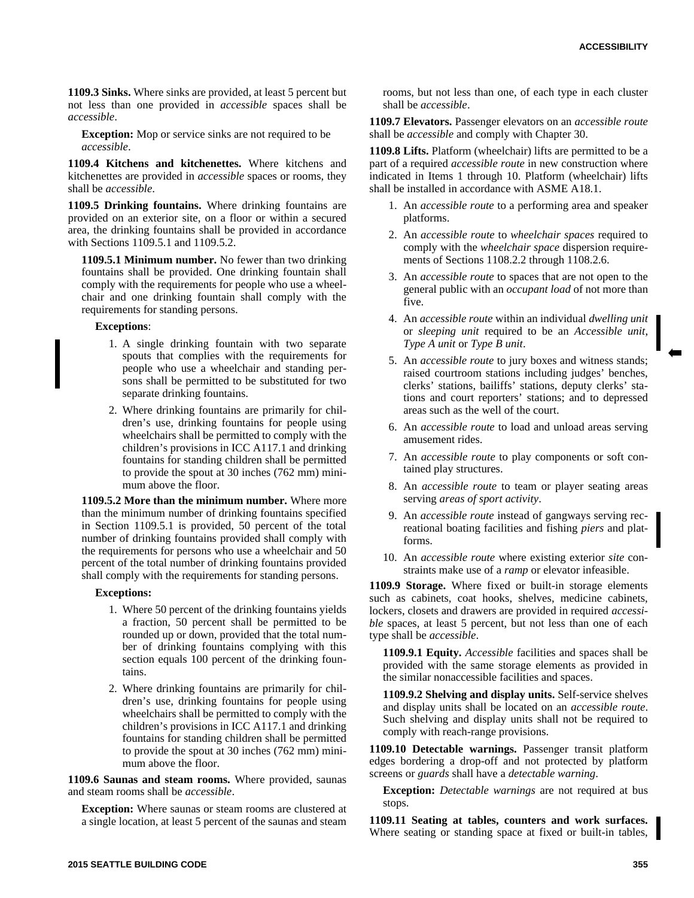**1109.3 Sinks.** Where sinks are provided, at least 5 percent but not less than one provided in *accessible* spaces shall be *accessible*.

**Exception:** Mop or service sinks are not required to be *accessible*.

**1109.4 Kitchens and kitchenettes.** Where kitchens and kitchenettes are provided in *accessible* spaces or rooms, they shall be *accessible*.

**1109.5 Drinking fountains.** Where drinking fountains are provided on an exterior site, on a floor or within a secured area, the drinking fountains shall be provided in accordance with Sections 1109.5.1 and 1109.5.2.

**1109.5.1 Minimum number.** No fewer than two drinking fountains shall be provided. One drinking fountain shall comply with the requirements for people who use a wheelchair and one drinking fountain shall comply with the requirements for standing persons.

#### **Exceptions**:

- 1. A single drinking fountain with two separate spouts that complies with the requirements for people who use a wheelchair and standing persons shall be permitted to be substituted for two separate drinking fountains.
- 2. Where drinking fountains are primarily for children's use, drinking fountains for people using wheelchairs shall be permitted to comply with the children's provisions in ICC A117.1 and drinking fountains for standing children shall be permitted to provide the spout at 30 inches (762 mm) minimum above the floor.

**1109.5.2 More than the minimum number.** Where more than the minimum number of drinking fountains specified in Section 1109.5.1 is provided, 50 percent of the total number of drinking fountains provided shall comply with the requirements for persons who use a wheelchair and 50 percent of the total number of drinking fountains provided shall comply with the requirements for standing persons.

#### **Exceptions:**

- 1. Where 50 percent of the drinking fountains yields a fraction, 50 percent shall be permitted to be rounded up or down, provided that the total number of drinking fountains complying with this section equals 100 percent of the drinking fountains.
- 2. Where drinking fountains are primarily for children's use, drinking fountains for people using wheelchairs shall be permitted to comply with the children's provisions in ICC A117.1 and drinking fountains for standing children shall be permitted to provide the spout at 30 inches (762 mm) minimum above the floor.

**1109.6 Saunas and steam rooms.** Where provided, saunas and steam rooms shall be *accessible*.

**Exception:** Where saunas or steam rooms are clustered at a single location, at least 5 percent of the saunas and steam

rooms, but not less than one, of each type in each cluster shall be *accessible*.

**1109.7 Elevators.** Passenger elevators on an *accessible route* shall be *accessible* and comply with Chapter 30.

**1109.8 Lifts.** Platform (wheelchair) lifts are permitted to be a part of a required *accessible route* in new construction where indicated in Items 1 through 10. Platform (wheelchair) lifts shall be installed in accordance with ASME A18.1.

- 1. An *accessible route* to a performing area and speaker platforms.
- 2. An *accessible route* to *wheelchair spaces* required to comply with the *wheelchair space* dispersion requirements of Sections 1108.2.2 through 1108.2.6.
- 3. An *accessible route* to spaces that are not open to the general public with an *occupant load* of not more than five.
- 4. An *accessible route* within an individual *dwelling unit* or *sleeping unit* required to be an *Accessible unit*, *Type A unit* or *Type B unit*.
- 5. An *accessible route* to jury boxes and witness stands; raised courtroom stations including judges' benches, clerks' stations, bailiffs' stations, deputy clerks' stations and court reporters' stations; and to depressed areas such as the well of the court.
- 6. An *accessible route* to load and unload areas serving amusement rides.
- 7. An *accessible route* to play components or soft contained play structures.
- 8. An *accessible route* to team or player seating areas serving *areas of sport activity*.
- 9. An *accessible route* instead of gangways serving recreational boating facilities and fishing *piers* and platforms.
- 10. An *accessible route* where existing exterior *site* constraints make use of a *ramp* or elevator infeasible.

**1109.9 Storage.** Where fixed or built-in storage elements such as cabinets, coat hooks, shelves, medicine cabinets, lockers, closets and drawers are provided in required *accessible* spaces, at least 5 percent, but not less than one of each type shall be *accessible*.

**1109.9.1 Equity.** *Accessible* facilities and spaces shall be provided with the same storage elements as provided in the similar nonaccessible facilities and spaces.

**1109.9.2 Shelving and display units.** Self-service shelves and display units shall be located on an *accessible route*. Such shelving and display units shall not be required to comply with reach-range provisions.

**1109.10 Detectable warnings.** Passenger transit platform edges bordering a drop-off and not protected by platform screens or *guards* shall have a *detectable warning*.

**Exception:** *Detectable warnings* are not required at bus stops.

**1109.11 Seating at tables, counters and work surfaces.** Where seating or standing space at fixed or built-in tables,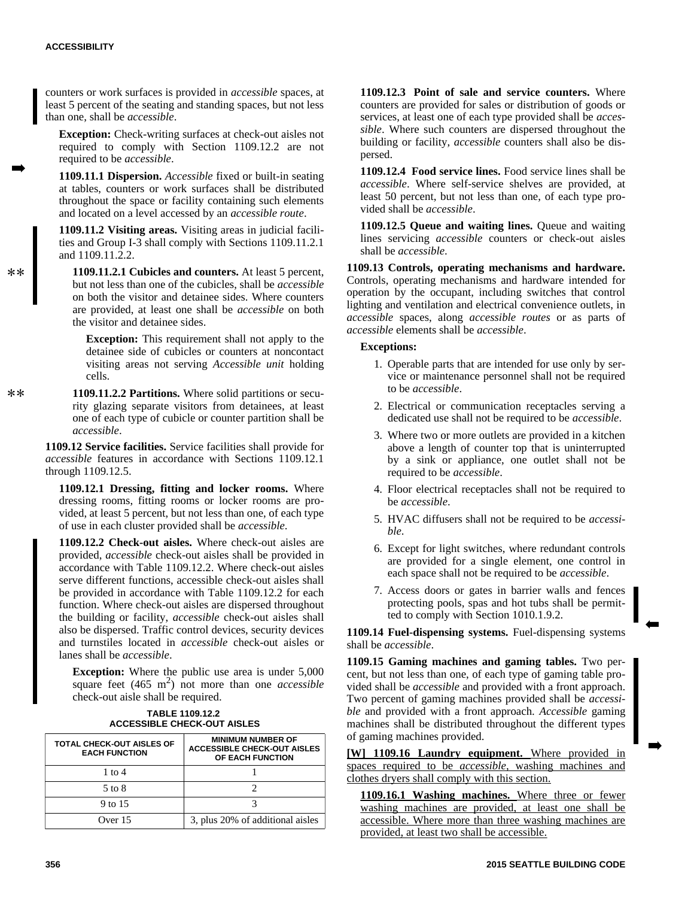counters or work surfaces is provided in *accessible* spaces, at least 5 percent of the seating and standing spaces, but not less than one, shall be *accessible*.

**Exception:** Check-writing surfaces at check-out aisles not required to comply with Section 1109.12.2 are not required to be *accessible*.

**1109.11.1 Dispersion.** *Accessible* fixed or built-in seating at tables, counters or work surfaces shall be distributed throughout the space or facility containing such elements and located on a level accessed by an *accessible route*.

**1109.11.2 Visiting areas.** Visiting areas in judicial facilities and Group I-3 shall comply with Sections 1109.11.2.1 and 1109.11.2.2.

**1109.11.2.1 Cubicles and counters.** At least 5 percent, but not less than one of the cubicles, shall be *accessible* on both the visitor and detainee sides. Where counters are provided, at least one shall be *accessible* on both the visitor and detainee sides.

**Exception:** This requirement shall not apply to the detainee side of cubicles or counters at noncontact visiting areas not serving *Accessible unit* holding cells.

**1109.11.2.2 Partitions.** Where solid partitions or security glazing separate visitors from detainees, at least one of each type of cubicle or counter partition shall be *accessible*.

**1109.12 Service facilities.** Service facilities shall provide for *accessible* features in accordance with Sections 1109.12.1 through 1109.12.5.

**1109.12.1 Dressing, fitting and locker rooms.** Where dressing rooms, fitting rooms or locker rooms are provided, at least 5 percent, but not less than one, of each type of use in each cluster provided shall be *accessible*.

**1109.12.2 Check-out aisles.** Where check-out aisles are provided, *accessible* check-out aisles shall be provided in accordance with Table 1109.12.2. Where check-out aisles serve different functions, accessible check-out aisles shall be provided in accordance with Table 1109.12.2 for each function. Where check-out aisles are dispersed throughout the building or facility, *accessible* check-out aisles shall also be dispersed. Traffic control devices, security devices and turnstiles located in *accessible* check-out aisles or lanes shall be *accessible*.

**Exception:** Where the public use area is under 5,000 square feet  $(465 \text{ m}^2)$  not more than one *accessible* check-out aisle shall be required.

#### **TABLE 1109.12.2 ACCESSIBLE CHECK-OUT AISLES**

| <b>TOTAL CHECK-OUT AISLES OF</b><br><b>EACH FUNCTION</b> | <b>MINIMUM NUMBER OF</b><br><b>ACCESSIBLE CHECK-OUT AISLES</b><br>OF EACH FUNCTION |
|----------------------------------------------------------|------------------------------------------------------------------------------------|
| 1 to $4$                                                 |                                                                                    |
| 5 to 8                                                   |                                                                                    |
| 9 to 15                                                  |                                                                                    |
| Over $15$                                                | 3, plus 20% of additional aisles                                                   |

**1109.12.3 Point of sale and service counters.** Where counters are provided for sales or distribution of goods or services, at least one of each type provided shall be *accessible*. Where such counters are dispersed throughout the building or facility, *accessible* counters shall also be dispersed.

**1109.12.4 Food service lines.** Food service lines shall be *accessible*. Where self-service shelves are provided, at least 50 percent, but not less than one, of each type provided shall be *accessible*.

**1109.12.5 Queue and waiting lines.** Queue and waiting lines servicing *accessible* counters or check-out aisles shall be *accessible*.

**1109.13 Controls, operating mechanisms and hardware.** Controls, operating mechanisms and hardware intended for operation by the occupant, including switches that control lighting and ventilation and electrical convenience outlets, in *accessible* spaces, along *accessible routes* or as parts of *accessible* elements shall be *accessible*.

## **Exceptions:**

- 1. Operable parts that are intended for use only by service or maintenance personnel shall not be required to be *accessible*.
- 2. Electrical or communication receptacles serving a dedicated use shall not be required to be *accessible*.
- 3. Where two or more outlets are provided in a kitchen above a length of counter top that is uninterrupted by a sink or appliance, one outlet shall not be required to be *accessible*.
- 4. Floor electrical receptacles shall not be required to be *accessible*.
- 5. HVAC diffusers shall not be required to be *accessible*.
- 6. Except for light switches, where redundant controls are provided for a single element, one control in each space shall not be required to be *accessible*.
- 7. Access doors or gates in barrier walls and fences protecting pools, spas and hot tubs shall be permitted to comply with Section 1010.1.9.2.

**1109.14 Fuel-dispensing systems.** Fuel-dispensing systems shall be *accessible*.

**1109.15 Gaming machines and gaming tables.** Two percent, but not less than one, of each type of gaming table provided shall be *accessible* and provided with a front approach. Two percent of gaming machines provided shall be *accessible* and provided with a front approach. *Accessible* gaming machines shall be distributed throughout the different types of gaming machines provided.

**[W] 1109.16 Laundry equipment.** Where provided in spaces required to be *accessible*, washing machines and clothes dryers shall comply with this section.

**1109.16.1 Washing machines.** Where three or fewer washing machines are provided, at least one shall be accessible. Where more than three washing machines are provided, at least two shall be accessible.

 $**$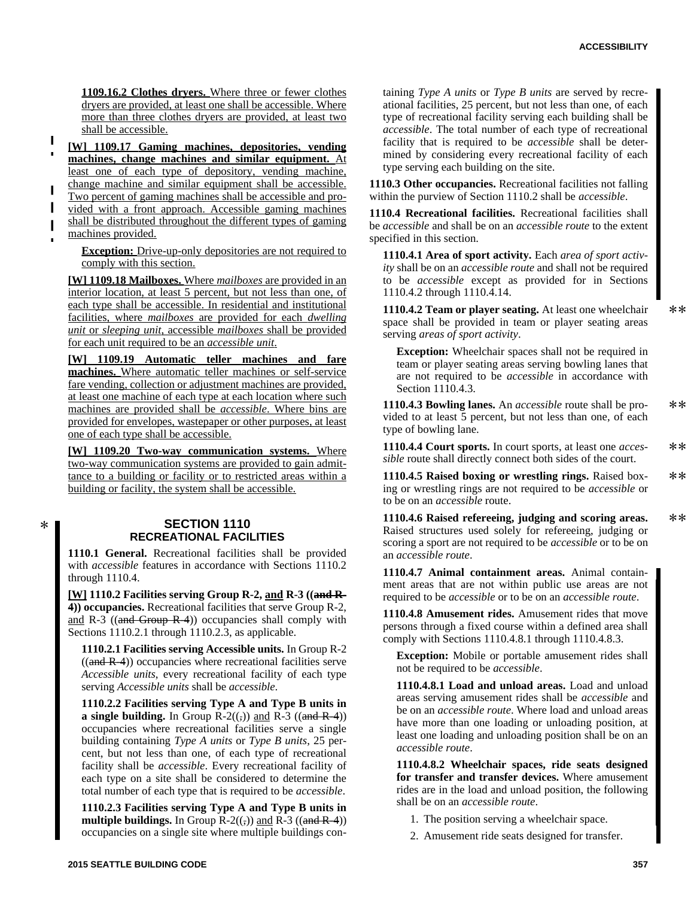$**$ 

 $**$ 

**1109.16.2 Clothes dryers.** Where three or fewer clothes dryers are provided, at least one shall be accessible. Where more than three clothes dryers are provided, at least two shall be accessible.

**[W] 1109.17 Gaming machines, depositories, vending machines, change machines and similar equipment.** At least one of each type of depository, vending machine, change machine and similar equipment shall be accessible.  $\blacksquare$ Two percent of gaming machines shall be accessible and provided with a front approach. Accessible gaming machines shall be distributed throughout the different types of gaming machines provided.

**Exception:** Drive-up-only depositories are not required to comply with this section.

**[W] 1109.18 Mailboxes.** Where *mailboxes* are provided in an interior location, at least 5 percent, but not less than one, of each type shall be accessible. In residential and institutional facilities, where *mailboxes* are provided for each *dwelling unit* or *sleeping unit*, accessible *mailboxes* shall be provided for each unit required to be an *accessible unit*.

**[W] 1109.19 Automatic teller machines and fare machines.** Where automatic teller machines or self-service fare vending, collection or adjustment machines are provided, at least one machine of each type at each location where such machines are provided shall be *accessible*. Where bins are provided for envelopes, wastepaper or other purposes, at least one of each type shall be accessible.

**[W] 1109.20 Two-way communication systems.** Where two-way communication systems are provided to gain admittance to a building or facility or to restricted areas within a building or facility, the system shall be accessible.

 $\ast$ 

# **SECTION 1110 RECREATIONAL FACILITIES**

**1110.1 General.** Recreational facilities shall be provided with *accessible* features in accordance with Sections 1110.2 through 1110.4.

**[W] 1110.2 Facilities serving Group R-2, and R-3 ((and R-4)) occupancies.** Recreational facilities that serve Group R-2, and R-3 ((and Group  $R-4$ )) occupancies shall comply with Sections 1110.2.1 through 1110.2.3, as applicable.

**1110.2.1 Facilities serving Accessible units.** In Group R-2  $((and R-4))$  occupancies where recreational facilities serve *Accessible units*, every recreational facility of each type serving *Accessible units* shall be *accessible*.

**1110.2.2 Facilities serving Type A and Type B units in a single building.** In Group  $R-2((,))$  and  $R-3$  ((and  $R-4$ )) occupancies where recreational facilities serve a single building containing *Type A units* or *Type B units*, 25 percent, but not less than one, of each type of recreational facility shall be *accessible*. Every recreational facility of each type on a site shall be considered to determine the total number of each type that is required to be *accessible*.

**1110.2.3 Facilities serving Type A and Type B units in multiple buildings.** In Group  $R-2((,))$  and  $R-3$  ((and  $R-4$ )) occupancies on a single site where multiple buildings con-

taining *Type A units* or *Type B units* are served by recreational facilities, 25 percent, but not less than one, of each type of recreational facility serving each building shall be *accessible*. The total number of each type of recreational facility that is required to be *accessible* shall be determined by considering every recreational facility of each type serving each building on the site.

**1110.3 Other occupancies.** Recreational facilities not falling within the purview of Section 1110.2 shall be *accessible*.

**1110.4 Recreational facilities.** Recreational facilities shall be *accessible* and shall be on an *accessible route* to the extent specified in this section.

**1110.4.1 Area of sport activity.** Each *area of sport activity* shall be on an *accessible route* and shall not be required to be *accessible* except as provided for in Sections 1110.4.2 through 1110.4.14.

**1110.4.2 Team or player seating.** At least one wheelchair space shall be provided in team or player seating areas serving *areas of sport activity*.

**Exception:** Wheelchair spaces shall not be required in team or player seating areas serving bowling lanes that are not required to be *accessible* in accordance with Section 1110.4.3.

**1110.4.3 Bowling lanes.** An *accessible* route shall be pro- $**$ vided to at least 5 percent, but not less than one, of each type of bowling lane.

**1110.4.4 Court sports.** In court sports, at least one *acces-* $**$ *sible* route shall directly connect both sides of the court.

**1110.4.5 Raised boxing or wrestling rings.** Raised boxing or wrestling rings are not required to be *accessible* or to be on an *accessible* route.

**1110.4.6 Raised refereeing, judging and scoring areas.**  $**$ Raised structures used solely for refereeing, judging or scoring a sport are not required to be *accessible* or to be on an *accessible route*.

**1110.4.7 Animal containment areas.** Animal containment areas that are not within public use areas are not required to be *accessible* or to be on an *accessible route*.

**1110.4.8 Amusement rides.** Amusement rides that move persons through a fixed course within a defined area shall comply with Sections 1110.4.8.1 through 1110.4.8.3.

**Exception:** Mobile or portable amusement rides shall not be required to be *accessible*.

**1110.4.8.1 Load and unload areas.** Load and unload areas serving amusement rides shall be *accessible* and be on an *accessible route*. Where load and unload areas have more than one loading or unloading position, at least one loading and unloading position shall be on an *accessible route*.

**1110.4.8.2 Wheelchair spaces, ride seats designed for transfer and transfer devices.** Where amusement rides are in the load and unload position, the following shall be on an *accessible route*.

- 1. The position serving a wheelchair space.
- 2. Amusement ride seats designed for transfer.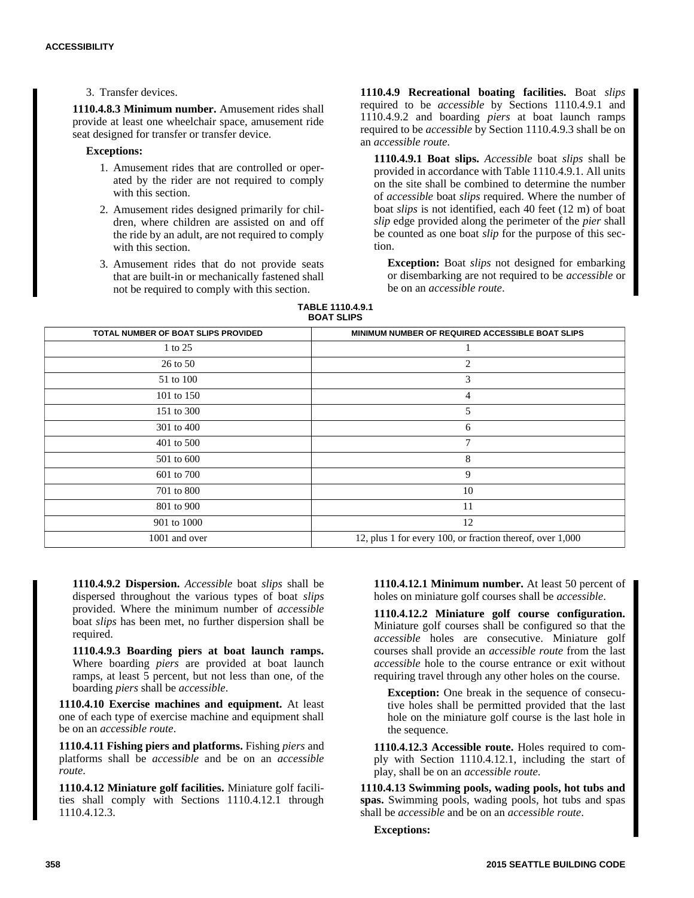3. Transfer devices.

**1110.4.8.3 Minimum number.** Amusement rides shall provide at least one wheelchair space, amusement ride seat designed for transfer or transfer device.

## **Exceptions:**

- 1. Amusement rides that are controlled or operated by the rider are not required to comply with this section.
- 2. Amusement rides designed primarily for children, where children are assisted on and off the ride by an adult, are not required to comply with this section.
- 3. Amusement rides that do not provide seats that are built-in or mechanically fastened shall not be required to comply with this section.

**1110.4.9 Recreational boating facilities.** Boat *slips* required to be *accessible* by Sections 1110.4.9.1 and 1110.4.9.2 and boarding *piers* at boat launch ramps required to be *accessible* by Section 1110.4.9.3 shall be on an *accessible route*.

**1110.4.9.1 Boat slips.** *Accessible* boat *slips* shall be provided in accordance with Table 1110.4.9.1. All units on the site shall be combined to determine the number of *accessible* boat *slips* required. Where the number of boat *slips* is not identified, each 40 feet (12 m) of boat *slip* edge provided along the perimeter of the *pier* shall be counted as one boat *slip* for the purpose of this section.

**Exception:** Boat *slips* not designed for embarking or disembarking are not required to be *accessible* or be on an *accessible route*.

**TABLE 1110.4.9.1 BOAT SLIPS**

| TOTAL NUMBER OF BOAT SLIPS PROVIDED | MINIMUM NUMBER OF REQUIRED ACCESSIBLE BOAT SLIPS          |
|-------------------------------------|-----------------------------------------------------------|
| 1 to 25                             | -1                                                        |
| 26 to 50                            | 2                                                         |
| 51 to 100                           | 3                                                         |
| 101 to 150                          | 4                                                         |
| 151 to 300                          | 5                                                         |
| 301 to 400                          | 6                                                         |
| 401 to 500                          | 7                                                         |
| 501 to 600                          | 8                                                         |
| 601 to 700                          | 9                                                         |
| 701 to 800                          | 10                                                        |
| 801 to 900                          | 11                                                        |
| 901 to 1000                         | 12                                                        |
| 1001 and over                       | 12, plus 1 for every 100, or fraction thereof, over 1,000 |

**1110.4.9.2 Dispersion.** *Accessible* boat *slips* shall be dispersed throughout the various types of boat *slips* provided. Where the minimum number of *accessible* boat *slips* has been met, no further dispersion shall be required.

**1110.4.9.3 Boarding piers at boat launch ramps.** Where boarding *piers* are provided at boat launch ramps, at least 5 percent, but not less than one, of the boarding *piers* shall be *accessible*.

**1110.4.10 Exercise machines and equipment.** At least one of each type of exercise machine and equipment shall be on an *accessible route*.

**1110.4.11 Fishing piers and platforms.** Fishing *piers* and platforms shall be *accessible* and be on an *accessible route*.

**1110.4.12 Miniature golf facilities.** Miniature golf facilities shall comply with Sections 1110.4.12.1 through 1110.4.12.3.

**1110.4.12.1 Minimum number.** At least 50 percent of holes on miniature golf courses shall be *accessible*.

**1110.4.12.2 Miniature golf course configuration.** Miniature golf courses shall be configured so that the *accessible* holes are consecutive. Miniature golf courses shall provide an *accessible route* from the last *accessible* hole to the course entrance or exit without requiring travel through any other holes on the course.

**Exception:** One break in the sequence of consecutive holes shall be permitted provided that the last hole on the miniature golf course is the last hole in the sequence.

**1110.4.12.3 Accessible route.** Holes required to comply with Section 1110.4.12.1, including the start of play, shall be on an *accessible route*.

**1110.4.13 Swimming pools, wading pools, hot tubs and spas.** Swimming pools, wading pools, hot tubs and spas shall be *accessible* and be on an *accessible route*.

**Exceptions:**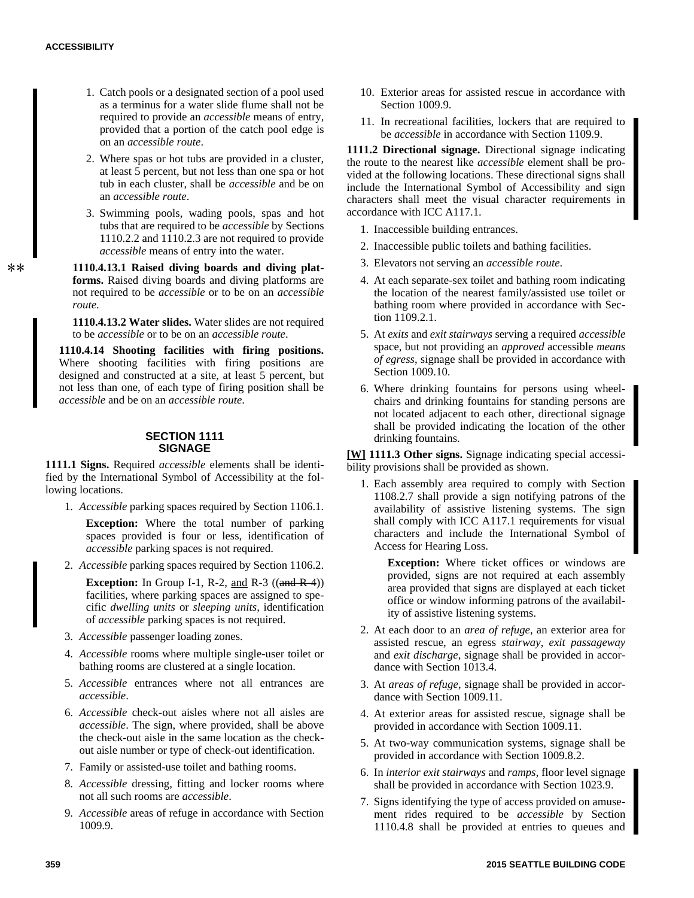- 1. Catch pools or a designated section of a pool used as a terminus for a water slide flume shall not be required to provide an *accessible* means of entry, provided that a portion of the catch pool edge is on an *accessible route*.
- 2. Where spas or hot tubs are provided in a cluster, at least 5 percent, but not less than one spa or hot tub in each cluster, shall be *accessible* and be on an *accessible route*.
- 3. Swimming pools, wading pools, spas and hot tubs that are required to be *accessible* by Sections 1110.2.2 and 1110.2.3 are not required to provide *accessible* means of entry into the water.

**1110.4.13.1 Raised diving boards and diving platforms.** Raised diving boards and diving platforms are not required to be *accessible* or to be on an *accessible route*.

**1110.4.13.2 Water slides.** Water slides are not required to be *accessible* or to be on an *accessible route*.

**1110.4.14 Shooting facilities with firing positions.** Where shooting facilities with firing positions are designed and constructed at a site, at least 5 percent, but not less than one, of each type of firing position shall be *accessible* and be on an *accessible route*.

#### **SECTION 1111 SIGNAGE**

**1111.1 Signs.** Required *accessible* elements shall be identified by the International Symbol of Accessibility at the following locations.

1. *Accessible* parking spaces required by Section 1106.1.

**Exception:** Where the total number of parking spaces provided is four or less, identification of *accessible* parking spaces is not required.

2. *Accessible* parking spaces required by Section 1106.2.

**Exception:** In Group I-1, R-2, and R-3  $((\text{and } R-4))$ facilities, where parking spaces are assigned to specific *dwelling units* or *sleeping units*, identification of *accessible* parking spaces is not required.

- 3. *Accessible* passenger loading zones.
- 4. *Accessible* rooms where multiple single-user toilet or bathing rooms are clustered at a single location.
- 5. *Accessible* entrances where not all entrances are *accessible*.
- 6. *Accessible* check-out aisles where not all aisles are *accessible*. The sign, where provided, shall be above the check-out aisle in the same location as the checkout aisle number or type of check-out identification.
- 7. Family or assisted-use toilet and bathing rooms.
- 8. *Accessible* dressing, fitting and locker rooms where not all such rooms are *accessible*.
- 9. *Accessible* areas of refuge in accordance with Section 1009.9.
- 10. Exterior areas for assisted rescue in accordance with Section 1009.9.
- 11. In recreational facilities, lockers that are required to be *accessible* in accordance with Section 1109.9.

**1111.2 Directional signage.** Directional signage indicating the route to the nearest like *accessible* element shall be provided at the following locations. These directional signs shall include the International Symbol of Accessibility and sign characters shall meet the visual character requirements in accordance with ICC A117.1.

- 1. Inaccessible building entrances.
- 2. Inaccessible public toilets and bathing facilities.
- 3. Elevators not serving an *accessible route*.
- 4. At each separate-sex toilet and bathing room indicating the location of the nearest family/assisted use toilet or bathing room where provided in accordance with Section 1109.2.1.
- 5. At *exits* and *exit stairways* serving a required *accessible* space, but not providing an *approved* accessible *means of egress*, signage shall be provided in accordance with Section 1009.10.
- 6. Where drinking fountains for persons using wheelchairs and drinking fountains for standing persons are not located adjacent to each other, directional signage shall be provided indicating the location of the other drinking fountains.

**[W] 1111.3 Other signs.** Signage indicating special accessibility provisions shall be provided as shown.

1. Each assembly area required to comply with Section 1108.2.7 shall provide a sign notifying patrons of the availability of assistive listening systems. The sign shall comply with ICC A117.1 requirements for visual characters and include the International Symbol of Access for Hearing Loss.

**Exception:** Where ticket offices or windows are provided, signs are not required at each assembly area provided that signs are displayed at each ticket office or window informing patrons of the availability of assistive listening systems.

- 2. At each door to an *area of refuge*, an exterior area for assisted rescue, an egress *stairway*, *exit passageway* and *exit discharge*, signage shall be provided in accordance with Section 1013.4.
- 3. At *areas of refuge*, signage shall be provided in accordance with Section 1009.11.
- 4. At exterior areas for assisted rescue, signage shall be provided in accordance with Section 1009.11.
- 5. At two-way communication systems, signage shall be provided in accordance with Section 1009.8.2.
- 6. In *interior exit stairways* and *ramps*, floor level signage shall be provided in accordance with Section 1023.9.
- 7. Signs identifying the type of access provided on amusement rides required to be *accessible* by Section 1110.4.8 shall be provided at entries to queues and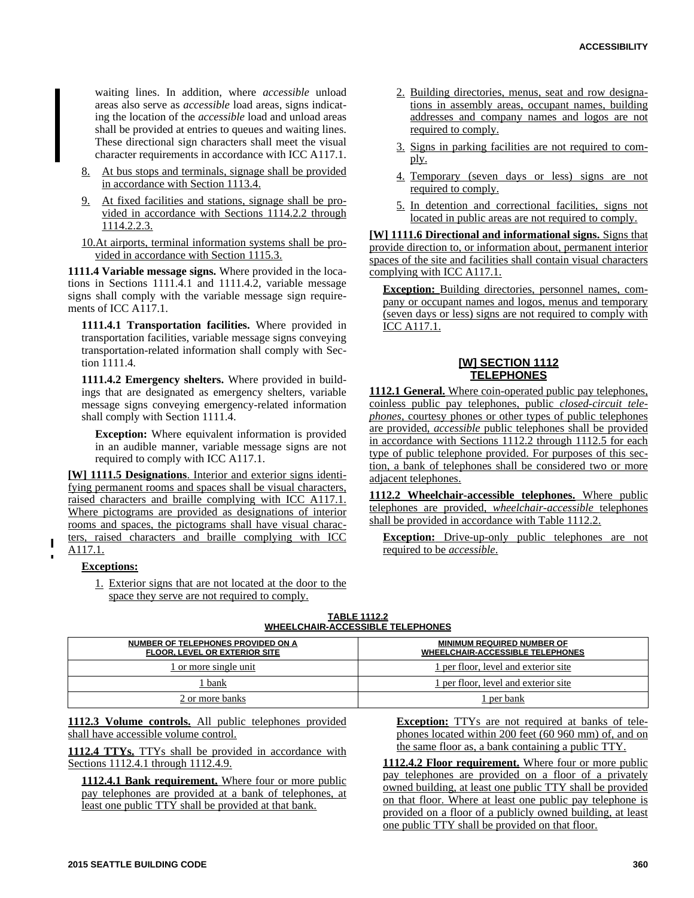waiting lines. In addition, where *accessible* unload areas also serve as *accessible* load areas, signs indicating the location of the *accessible* load and unload areas shall be provided at entries to queues and waiting lines. These directional sign characters shall meet the visual character requirements in accordance with ICC A117.1.

- 8. At bus stops and terminals, signage shall be provided in accordance with Section 1113.4.
- 9. At fixed facilities and stations, signage shall be provided in accordance with Sections 1114.2.2 through 1114.2.2.3.

10.At airports, terminal information systems shall be provided in accordance with Section 1115.3.

**1111.4 Variable message signs.** Where provided in the locations in Sections 1111.4.1 and 1111.4.2, variable message signs shall comply with the variable message sign requirements of ICC A117.1.

**1111.4.1 Transportation facilities.** Where provided in transportation facilities, variable message signs conveying transportation-related information shall comply with Section 1111.4.

**1111.4.2 Emergency shelters.** Where provided in buildings that are designated as emergency shelters, variable message signs conveying emergency-related information shall comply with Section 1111.4.

**Exception:** Where equivalent information is provided in an audible manner, variable message signs are not required to comply with ICC A117.1.

**[W] 1111.5 Designations**. Interior and exterior signs identifying permanent rooms and spaces shall be visual characters, raised characters and braille complying with ICC A117.1. Where pictograms are provided as designations of interior rooms and spaces, the pictograms shall have visual characters, raised characters and braille complying with ICC

# A117.1.

## **Exceptions:**

1. Exterior signs that are not located at the door to the space they serve are not required to comply.

- 2. Building directories, menus, seat and row designations in assembly areas, occupant names, building addresses and company names and logos are not required to comply.
- 3. Signs in parking facilities are not required to comply.
- 4. Temporary (seven days or less) signs are not required to comply.
- 5. In detention and correctional facilities, signs not located in public areas are not required to comply.

**[W] 1111.6 Directional and informational signs.** Signs that provide direction to, or information about, permanent interior spaces of the site and facilities shall contain visual characters complying with ICC A117.1.

**Exception:** Building directories, personnel names, company or occupant names and logos, menus and temporary (seven days or less) signs are not required to comply with ICC A117.1.

## **[W] SECTION 1112 TELEPHONES**

**1112.1 General.** Where coin-operated public pay telephones, coinless public pay telephones, public *closed-circuit telephones*, courtesy phones or other types of public telephones are provided, *accessible* public telephones shall be provided in accordance with Sections 1112.2 through 1112.5 for each type of public telephone provided. For purposes of this section, a bank of telephones shall be considered two or more adjacent telephones.

**1112.2 Wheelchair-accessible telephones.** Where public telephones are provided, *wheelchair-accessible* telephones shall be provided in accordance with Table 1112.2.

**Exception:** Drive-up-only public telephones are not required to be *accessible*.

| <b>WHEELCHAIR-ACCESSIBLE TELEPHONES</b>                                    |                                                                              |  |
|----------------------------------------------------------------------------|------------------------------------------------------------------------------|--|
| NUMBER OF TELEPHONES PROVIDED ON A<br><b>FLOOR, LEVEL OR EXTERIOR SITE</b> | <b>MINIMUM REQUIRED NUMBER OF</b><br><b>WHEELCHAIR-ACCESSIBLE TELEPHONES</b> |  |
| 1 or more single unit                                                      | 1 per floor, level and exterior site                                         |  |
| l bank                                                                     | 1 per floor, level and exterior site                                         |  |
| 2 or more banks                                                            | l per bank                                                                   |  |

**TABLE 1112.2**

**1112.3 Volume controls.** All public telephones provided shall have accessible volume control.

**1112.4 TTYs.** TTYs shall be provided in accordance with Sections 1112.4.1 through 1112.4.9.

**1112.4.1 Bank requirement.** Where four or more public pay telephones are provided at a bank of telephones, at least one public TTY shall be provided at that bank.

**Exception:** TTYs are not required at banks of telephones located within 200 feet (60 960 mm) of, and on the same floor as, a bank containing a public TTY.

**1112.4.2 Floor requirement.** Where four or more public pay telephones are provided on a floor of a privately owned building, at least one public TTY shall be provided on that floor. Where at least one public pay telephone is provided on a floor of a publicly owned building, at least one public TTY shall be provided on that floor.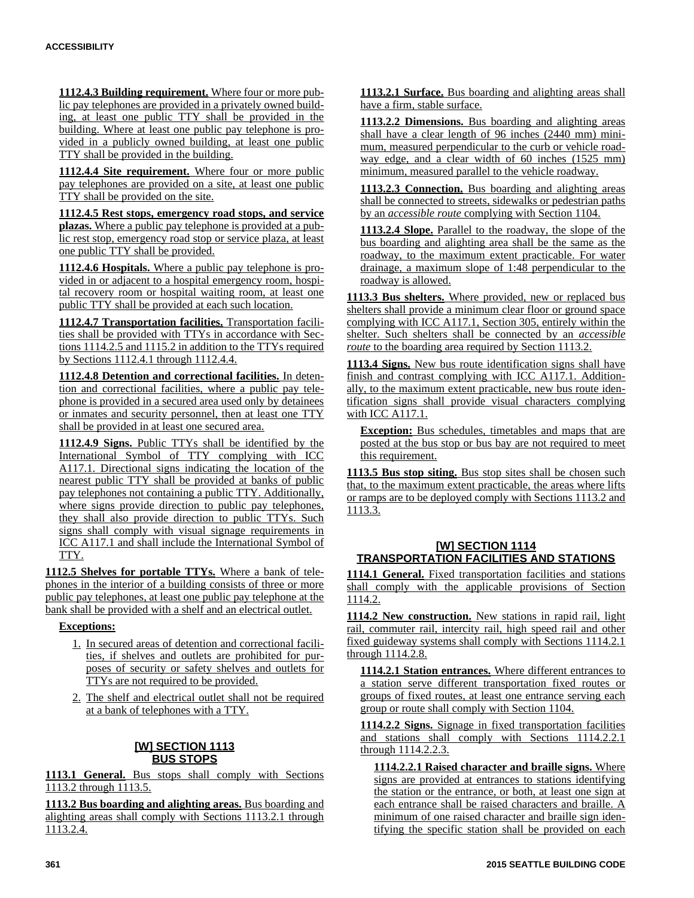**1112.4.3 Building requirement.** Where four or more public pay telephones are provided in a privately owned building, at least one public TTY shall be provided in the building. Where at least one public pay telephone is provided in a publicly owned building, at least one public TTY shall be provided in the building.

**1112.4.4 Site requirement.** Where four or more public pay telephones are provided on a site, at least one public TTY shall be provided on the site.

**1112.4.5 Rest stops, emergency road stops, and service plazas.** Where a public pay telephone is provided at a public rest stop, emergency road stop or service plaza, at least one public TTY shall be provided.

**1112.4.6 Hospitals.** Where a public pay telephone is provided in or adjacent to a hospital emergency room, hospital recovery room or hospital waiting room, at least one public TTY shall be provided at each such location.

**1112.4.7 Transportation facilities.** Transportation facilities shall be provided with TTYs in accordance with Sections 1114.2.5 and 1115.2 in addition to the TTYs required by Sections 1112.4.1 through 1112.4.4.

**1112.4.8 Detention and correctional facilities.** In detention and correctional facilities, where a public pay telephone is provided in a secured area used only by detainees or inmates and security personnel, then at least one TTY shall be provided in at least one secured area.

**1112.4.9 Signs.** Public TTYs shall be identified by the International Symbol of TTY complying with ICC A117.1. Directional signs indicating the location of the nearest public TTY shall be provided at banks of public pay telephones not containing a public TTY. Additionally, where signs provide direction to public pay telephones, they shall also provide direction to public TTYs. Such signs shall comply with visual signage requirements in ICC A117.1 and shall include the International Symbol of TTY.

**1112.5 Shelves for portable TTYs.** Where a bank of telephones in the interior of a building consists of three or more public pay telephones, at least one public pay telephone at the bank shall be provided with a shelf and an electrical outlet.

**Exceptions:**

- 1. In secured areas of detention and correctional facilities, if shelves and outlets are prohibited for purposes of security or safety shelves and outlets for TTYs are not required to be provided.
- 2. The shelf and electrical outlet shall not be required at a bank of telephones with a TTY.

# **[W] SECTION 1113 BUS STOPS**

**1113.1 General.** Bus stops shall comply with Sections 1113.2 through 1113.5.

**1113.2 Bus boarding and alighting areas.** Bus boarding and alighting areas shall comply with Sections 1113.2.1 through 1113.2.4.

**1113.2.1 Surface.** Bus boarding and alighting areas shall have a firm, stable surface.

**1113.2.2 Dimensions.** Bus boarding and alighting areas shall have a clear length of 96 inches (2440 mm) minimum, measured perpendicular to the curb or vehicle roadway edge, and a clear width of 60 inches (1525 mm) minimum, measured parallel to the vehicle roadway.

**1113.2.3 Connection.** Bus boarding and alighting areas shall be connected to streets, sidewalks or pedestrian paths by an *accessible route* complying with Section 1104.

**1113.2.4 Slope.** Parallel to the roadway, the slope of the bus boarding and alighting area shall be the same as the roadway, to the maximum extent practicable. For water drainage, a maximum slope of 1:48 perpendicular to the roadway is allowed.

**1113.3 Bus shelters.** Where provided, new or replaced bus shelters shall provide a minimum clear floor or ground space complying with ICC A117.1, Section 305, entirely within the shelter. Such shelters shall be connected by an *accessible route* to the boarding area required by Section 1113.2.

**1113.4 Signs.** New bus route identification signs shall have finish and contrast complying with ICC A117.1. Additionally, to the maximum extent practicable, new bus route identification signs shall provide visual characters complying with ICC A117.1.

**Exception:** Bus schedules, timetables and maps that are posted at the bus stop or bus bay are not required to meet this requirement.

**1113.5 Bus stop siting.** Bus stop sites shall be chosen such that, to the maximum extent practicable, the areas where lifts or ramps are to be deployed comply with Sections 1113.2 and 1113.3.

# **[W] SECTION 1114 TRANSPORTATION FACILITIES AND STATIONS**

**1114.1 General.** Fixed transportation facilities and stations shall comply with the applicable provisions of Section 1114.2.

**1114.2 New construction.** New stations in rapid rail, light rail, commuter rail, intercity rail, high speed rail and other fixed guideway systems shall comply with Sections 1114.2.1 through 1114.2.8.

**1114.2.1 Station entrances.** Where different entrances to a station serve different transportation fixed routes or groups of fixed routes, at least one entrance serving each group or route shall comply with Section 1104.

**1114.2.2 Signs.** Signage in fixed transportation facilities and stations shall comply with Sections 1114.2.2.1 through 1114.2.2.3.

**1114.2.2.1 Raised character and braille signs.** Where signs are provided at entrances to stations identifying the station or the entrance, or both, at least one sign at each entrance shall be raised characters and braille. A minimum of one raised character and braille sign identifying the specific station shall be provided on each